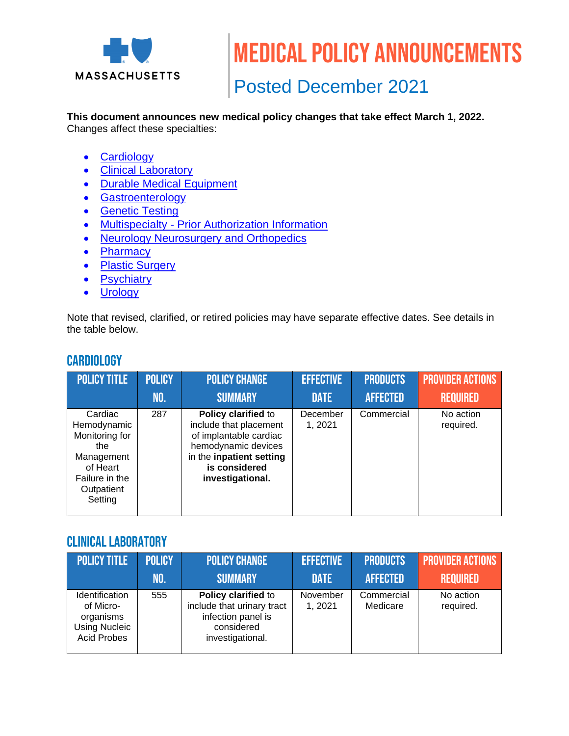

Medical policy announcements

# Posted December 2021

# **This document announces new medical policy changes that take effect March 1, 2022.**

Changes affect these specialties:

- [Cardiology](#page-0-0)
- [Clinical Laboratory](#page-0-1)
- [Durable Medical Equipment](#page-1-0)
- [Gastroenterology](#page-1-1)
- [Genetic Testing](#page-1-2)
- Multispecialty [Prior Authorization Information](#page-18-0)
- [Neurology Neurosurgery and Orthopedics](#page-18-1)
- [Pharmacy](#page-20-0)
- [Plastic Surgery](#page-20-1)
- **[Psychiatry](#page-21-0)**
- [Urology](#page-21-1)

Note that revised, clarified, or retired policies may have separate effective dates. See details in the table below.

# <span id="page-0-0"></span>**CARDIOLOGY**

| <b>POLICY TITLE</b>                                                                                                  | <b>POLICY</b> | <b>POLICY CHANGE</b>                                                                                                                                            | <b>EFFECTIVE</b>   | <b>PRODUCTS</b> | <b>PROVIDER ACTIONS</b> |
|----------------------------------------------------------------------------------------------------------------------|---------------|-----------------------------------------------------------------------------------------------------------------------------------------------------------------|--------------------|-----------------|-------------------------|
|                                                                                                                      | NO.           | <b>SUMMARY</b>                                                                                                                                                  | <b>DATE</b>        | <b>AFFECTED</b> | <b>REQUIRED</b>         |
| Cardiac<br>Hemodynamic<br>Monitoring for<br>the<br>Management<br>of Heart<br>Failure in the<br>Outpatient<br>Setting | 287           | Policy clarified to<br>include that placement<br>of implantable cardiac<br>hemodynamic devices<br>in the inpatient setting<br>is considered<br>investigational. | December<br>1,2021 | Commercial      | No action<br>required.  |

#### <span id="page-0-1"></span>Clinical laboratory

| <b>POLICY TITLE</b>                                                                           | <b>POLICY</b> | <b>POLICY CHANGE</b>                                                                                      | <b>EFFECTIVE</b>    | <b>PRODUCTS</b>        | <b>PROVIDER ACTIONS</b> |
|-----------------------------------------------------------------------------------------------|---------------|-----------------------------------------------------------------------------------------------------------|---------------------|------------------------|-------------------------|
|                                                                                               | NO.           | <b>SUMMARY</b>                                                                                            | <b>DATE</b>         | <b>AFFECTED</b>        | <b>REQUIRED</b>         |
| <b>Identification</b><br>of Micro-<br>organisms<br><b>Using Nucleic</b><br><b>Acid Probes</b> | 555           | Policy clarified to<br>include that urinary tract<br>infection panel is<br>considered<br>investigational. | November<br>1, 2021 | Commercial<br>Medicare | No action<br>required.  |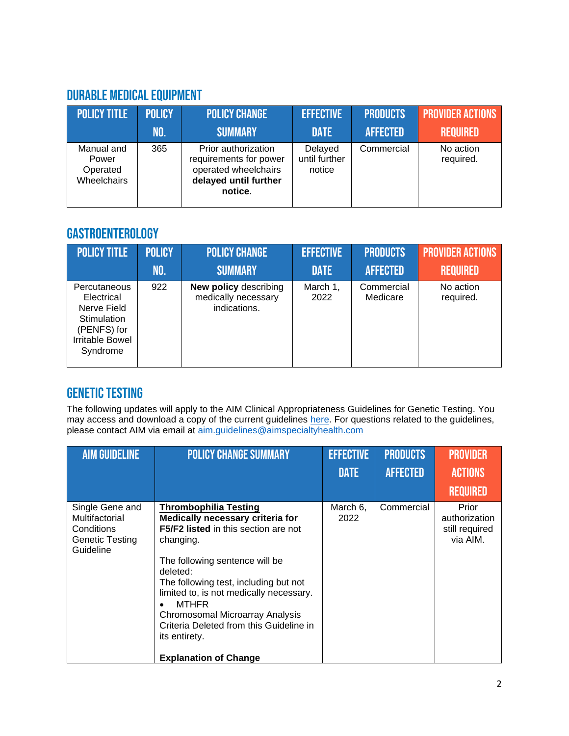# <span id="page-1-0"></span>Durable Medical Equipment

| <b>POLICY TITLE</b>                            | <b>POLICY</b> | <b>POLICY CHANGE</b>                                                                                      | <b>EFFECTIVE</b>                   | <b>PRODUCTS</b> | <b>PROVIDER ACTIONS</b> |
|------------------------------------------------|---------------|-----------------------------------------------------------------------------------------------------------|------------------------------------|-----------------|-------------------------|
|                                                | NO.           | <b>SUMMARY</b>                                                                                            | <b>DATE</b>                        | <b>AFFECTED</b> | <b>REQUIRED</b>         |
| Manual and<br>Power<br>Operated<br>Wheelchairs | 365           | Prior authorization<br>requirements for power<br>operated wheelchairs<br>delayed until further<br>notice. | Delayed<br>until further<br>notice | Commercial      | No action<br>required.  |

# <span id="page-1-1"></span>**GASTROENTEROLOGY**

| <b>POLICY TITLE</b>                                                                                           | <b>POLICY</b> | <b>POLICY CHANGE</b>                                                | <b>EFFECTIVE</b> | <b>PRODUCTS</b>        | <b>PROVIDER ACTIONS</b> |
|---------------------------------------------------------------------------------------------------------------|---------------|---------------------------------------------------------------------|------------------|------------------------|-------------------------|
|                                                                                                               | NO.           | <b>SUMMARY</b>                                                      | <b>DATE</b>      | <b>AFFECTED</b>        | <b>REQUIRED</b>         |
| Percutaneous<br>Electrical<br>Nerve Field<br>Stimulation<br>(PENFS) for<br><b>Irritable Bowel</b><br>Syndrome | 922           | <b>New policy describing</b><br>medically necessary<br>indications. | March 1,<br>2022 | Commercial<br>Medicare | No action<br>required.  |

# <span id="page-1-2"></span>Genetic testing

The following updates will apply to the AIM Clinical Appropriateness Guidelines for Genetic Testing. You may access and download a copy of the current guidelines [here.](https://aimspecialtyhealth.com/resources/clinical-guidelines/genetic-testing/) For questions related to the guidelines, please contact AIM via email at [aim.guidelines@aimspecialtyhealth.com](mailto:aim.guidelines@aimspecialtyhealth.com/)

| <b>AIM GUIDELINE</b>                                                            | <b>POLICY CHANGE SUMMARY</b>                                                                                                                                                                                                                                                                                                                                                                                        | <b>EFFECTIVE</b> | <b>PRODUCTS</b> | <b>PROVIDER</b>                                      |
|---------------------------------------------------------------------------------|---------------------------------------------------------------------------------------------------------------------------------------------------------------------------------------------------------------------------------------------------------------------------------------------------------------------------------------------------------------------------------------------------------------------|------------------|-----------------|------------------------------------------------------|
|                                                                                 |                                                                                                                                                                                                                                                                                                                                                                                                                     | <b>DATE</b>      | <b>AFFECTED</b> | <b>ACTIONS</b>                                       |
|                                                                                 |                                                                                                                                                                                                                                                                                                                                                                                                                     |                  |                 | <b>REQUIRED</b>                                      |
| Single Gene and<br>Multifactorial<br>Conditions<br>Genetic Testing<br>Guideline | <b>Thrombophilia Testing</b><br>Medically necessary criteria for<br>F5/F2 listed in this section are not<br>changing.<br>The following sentence will be<br>deleted:<br>The following test, including but not<br>limited to, is not medically necessary.<br><b>MTHFR</b><br>$\bullet$<br>Chromosomal Microarray Analysis<br>Criteria Deleted from this Guideline in<br>its entirety.<br><b>Explanation of Change</b> | March 6,<br>2022 | Commercial      | Prior<br>authorization<br>still required<br>via AIM. |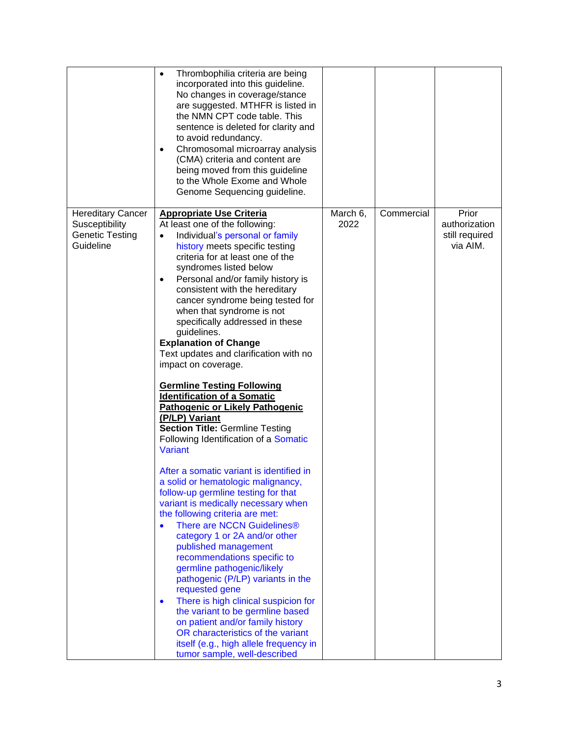|                                                                                   | Thrombophilia criteria are being<br>$\bullet$<br>incorporated into this guideline.<br>No changes in coverage/stance<br>are suggested. MTHFR is listed in<br>the NMN CPT code table. This<br>sentence is deleted for clarity and<br>to avoid redundancy.<br>Chromosomal microarray analysis<br>$\bullet$<br>(CMA) criteria and content are<br>being moved from this guideline<br>to the Whole Exome and Whole<br>Genome Sequencing guideline.                                                                                                                                                                                                                                                                                                                                                                                                                                                                                                                                                                                                                                                                                                                                                                                                                                                                                                                                                                                    |                  |            |                                                      |
|-----------------------------------------------------------------------------------|---------------------------------------------------------------------------------------------------------------------------------------------------------------------------------------------------------------------------------------------------------------------------------------------------------------------------------------------------------------------------------------------------------------------------------------------------------------------------------------------------------------------------------------------------------------------------------------------------------------------------------------------------------------------------------------------------------------------------------------------------------------------------------------------------------------------------------------------------------------------------------------------------------------------------------------------------------------------------------------------------------------------------------------------------------------------------------------------------------------------------------------------------------------------------------------------------------------------------------------------------------------------------------------------------------------------------------------------------------------------------------------------------------------------------------|------------------|------------|------------------------------------------------------|
| <b>Hereditary Cancer</b><br>Susceptibility<br><b>Genetic Testing</b><br>Guideline | <b>Appropriate Use Criteria</b><br>At least one of the following:<br>Individual's personal or family<br>$\bullet$<br>history meets specific testing<br>criteria for at least one of the<br>syndromes listed below<br>Personal and/or family history is<br>$\bullet$<br>consistent with the hereditary<br>cancer syndrome being tested for<br>when that syndrome is not<br>specifically addressed in these<br>guidelines.<br><b>Explanation of Change</b><br>Text updates and clarification with no<br>impact on coverage.<br><b>Germline Testing Following</b><br><b>Identification of a Somatic</b><br><b>Pathogenic or Likely Pathogenic</b><br>(P/LP) Variant<br><b>Section Title: Germline Testing</b><br>Following Identification of a Somatic<br><b>Variant</b><br>After a somatic variant is identified in<br>a solid or hematologic malignancy,<br>follow-up germline testing for that<br>variant is medically necessary when<br>the following criteria are met:<br>There are NCCN Guidelines®<br>category 1 or 2A and/or other<br>published management<br>recommendations specific to<br>germline pathogenic/likely<br>pathogenic (P/LP) variants in the<br>requested gene<br>There is high clinical suspicion for<br>$\bullet$<br>the variant to be germline based<br>on patient and/or family history<br>OR characteristics of the variant<br>itself (e.g., high allele frequency in<br>tumor sample, well-described | March 6,<br>2022 | Commercial | Prior<br>authorization<br>still required<br>via AIM. |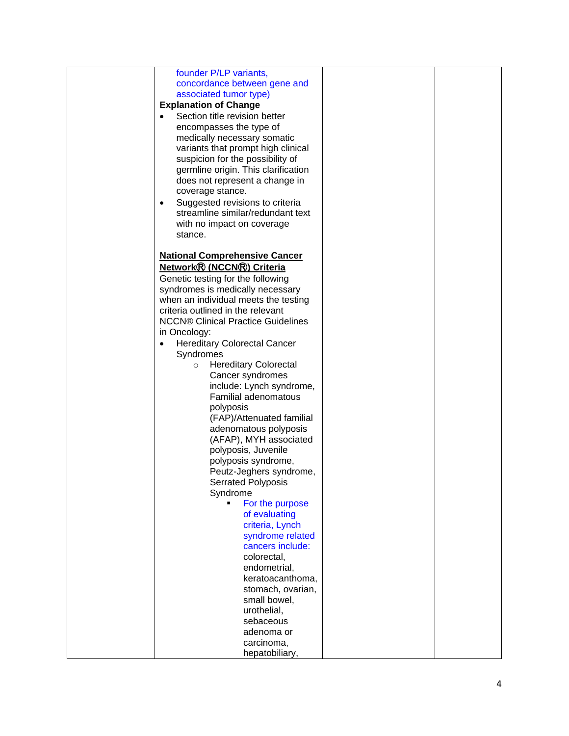| founder P/LP variants,                           |  |  |
|--------------------------------------------------|--|--|
| concordance between gene and                     |  |  |
| associated tumor type)                           |  |  |
| <b>Explanation of Change</b>                     |  |  |
|                                                  |  |  |
| Section title revision better                    |  |  |
| encompasses the type of                          |  |  |
| medically necessary somatic                      |  |  |
| variants that prompt high clinical               |  |  |
| suspicion for the possibility of                 |  |  |
| germline origin. This clarification              |  |  |
| does not represent a change in                   |  |  |
| coverage stance.                                 |  |  |
| Suggested revisions to criteria<br>$\bullet$     |  |  |
| streamline similar/redundant text                |  |  |
| with no impact on coverage                       |  |  |
| stance.                                          |  |  |
|                                                  |  |  |
|                                                  |  |  |
| <b>National Comprehensive Cancer</b>             |  |  |
| Network® (NCCN®) Criteria                        |  |  |
| Genetic testing for the following                |  |  |
| syndromes is medically necessary                 |  |  |
| when an individual meets the testing             |  |  |
| criteria outlined in the relevant                |  |  |
| <b>NCCN® Clinical Practice Guidelines</b>        |  |  |
| in Oncology:                                     |  |  |
| <b>Hereditary Colorectal Cancer</b><br>$\bullet$ |  |  |
| Syndromes                                        |  |  |
| <b>Hereditary Colorectal</b><br>$\circ$          |  |  |
| Cancer syndromes                                 |  |  |
| include: Lynch syndrome,                         |  |  |
| <b>Familial adenomatous</b>                      |  |  |
| polyposis                                        |  |  |
| (FAP)/Attenuated familial                        |  |  |
| adenomatous polyposis                            |  |  |
| (AFAP), MYH associated                           |  |  |
| polyposis, Juvenile                              |  |  |
| polyposis syndrome,                              |  |  |
|                                                  |  |  |
| Peutz-Jeghers syndrome,                          |  |  |
| Serrated Polyposis                               |  |  |
| Syndrome                                         |  |  |
| For the purpose                                  |  |  |
| of evaluating                                    |  |  |
| criteria, Lynch                                  |  |  |
| syndrome related                                 |  |  |
| cancers include:                                 |  |  |
| colorectal,                                      |  |  |
| endometrial,                                     |  |  |
| keratoacanthoma,                                 |  |  |
| stomach, ovarian,                                |  |  |
| small bowel,                                     |  |  |
| urothelial,                                      |  |  |
| sebaceous                                        |  |  |
| adenoma or                                       |  |  |
| carcinoma,                                       |  |  |
| hepatobiliary,                                   |  |  |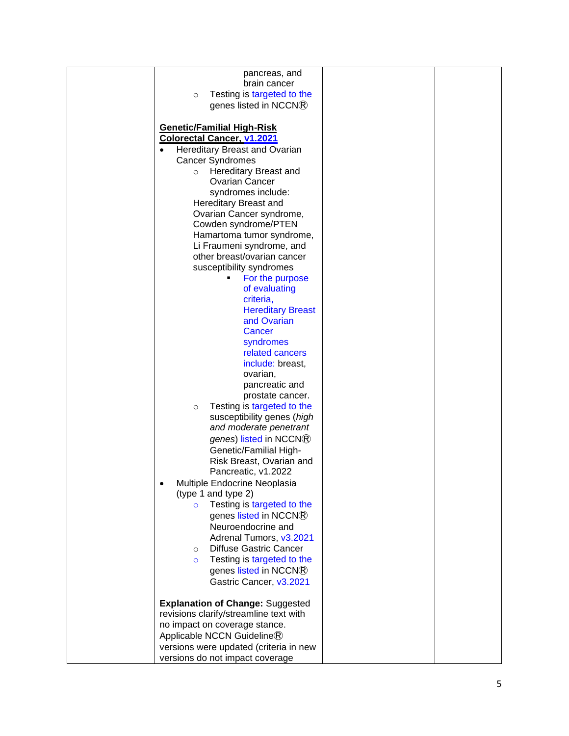| pancreas, and                                |  |  |
|----------------------------------------------|--|--|
| brain cancer                                 |  |  |
|                                              |  |  |
| Testing is targeted to the<br>$\circ$        |  |  |
| genes listed in NCCN®                        |  |  |
|                                              |  |  |
|                                              |  |  |
| <b>Genetic/Familial High-Risk</b>            |  |  |
| <b>Colorectal Cancer, v1.2021</b>            |  |  |
| Hereditary Breast and Ovarian                |  |  |
|                                              |  |  |
| <b>Cancer Syndromes</b>                      |  |  |
| Hereditary Breast and<br>$\circ$             |  |  |
| <b>Ovarian Cancer</b>                        |  |  |
| syndromes include:                           |  |  |
| Hereditary Breast and                        |  |  |
|                                              |  |  |
| Ovarian Cancer syndrome,                     |  |  |
| Cowden syndrome/PTEN                         |  |  |
| Hamartoma tumor syndrome,                    |  |  |
| Li Fraumeni syndrome, and                    |  |  |
|                                              |  |  |
| other breast/ovarian cancer                  |  |  |
| susceptibility syndromes                     |  |  |
| For the purpose<br>٠                         |  |  |
| of evaluating                                |  |  |
| criteria,                                    |  |  |
|                                              |  |  |
| <b>Hereditary Breast</b>                     |  |  |
| and Ovarian                                  |  |  |
| Cancer                                       |  |  |
| syndromes                                    |  |  |
|                                              |  |  |
| related cancers                              |  |  |
| include: breast,                             |  |  |
| ovarian,                                     |  |  |
| pancreatic and                               |  |  |
|                                              |  |  |
| prostate cancer.                             |  |  |
| Testing is targeted to the<br>$\circ$        |  |  |
| susceptibility genes (high                   |  |  |
| and moderate penetrant                       |  |  |
|                                              |  |  |
| genes) listed in NCCN®                       |  |  |
| Genetic/Familial High-                       |  |  |
| Risk Breast, Ovarian and                     |  |  |
| Pancreatic, v1.2022                          |  |  |
|                                              |  |  |
| Multiple Endocrine Neoplasia                 |  |  |
| (type 1 and type 2)                          |  |  |
| Testing is targeted to the<br>$\overline{O}$ |  |  |
| genes listed in NCCN®                        |  |  |
|                                              |  |  |
| Neuroendocrine and                           |  |  |
| Adrenal Tumors, v3.2021                      |  |  |
| <b>Diffuse Gastric Cancer</b><br>$\circ$     |  |  |
| Testing is targeted to the<br>$\circ$        |  |  |
|                                              |  |  |
| genes listed in NCCN®                        |  |  |
| Gastric Cancer, v3.2021                      |  |  |
|                                              |  |  |
| <b>Explanation of Change: Suggested</b>      |  |  |
| revisions clarify/streamline text with       |  |  |
|                                              |  |  |
| no impact on coverage stance.                |  |  |
| Applicable NCCN Guideline®                   |  |  |
| versions were updated (criteria in new       |  |  |
|                                              |  |  |
| versions do not impact coverage              |  |  |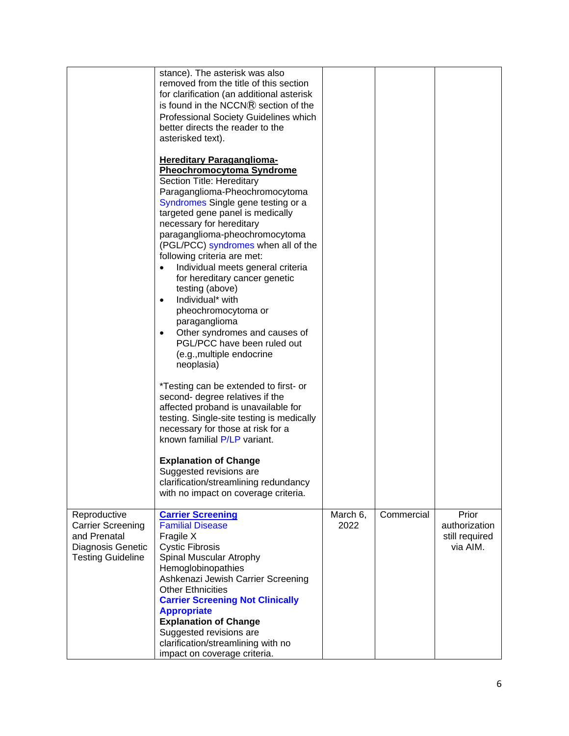|                                                                                                           | stance). The asterisk was also<br>removed from the title of this section<br>for clarification (an additional asterisk<br>is found in the NCCN® section of the<br>Professional Society Guidelines which<br>better directs the reader to the<br>asterisked text).                                                                                                                                                                                                                                                                                                                                                                             |                  |            |                                                      |
|-----------------------------------------------------------------------------------------------------------|---------------------------------------------------------------------------------------------------------------------------------------------------------------------------------------------------------------------------------------------------------------------------------------------------------------------------------------------------------------------------------------------------------------------------------------------------------------------------------------------------------------------------------------------------------------------------------------------------------------------------------------------|------------------|------------|------------------------------------------------------|
|                                                                                                           | <b>Hereditary Paraganglioma-</b><br><b>Pheochromocytoma Syndrome</b><br>Section Title: Hereditary<br>Paraganglioma-Pheochromocytoma<br>Syndromes Single gene testing or a<br>targeted gene panel is medically<br>necessary for hereditary<br>paraganglioma-pheochromocytoma<br>(PGL/PCC) syndromes when all of the<br>following criteria are met:<br>Individual meets general criteria<br>$\bullet$<br>for hereditary cancer genetic<br>testing (above)<br>Individual* with<br>$\bullet$<br>pheochromocytoma or<br>paraganglioma<br>Other syndromes and causes of<br>PGL/PCC have been ruled out<br>(e.g., multiple endocrine<br>neoplasia) |                  |            |                                                      |
|                                                                                                           | *Testing can be extended to first- or<br>second- degree relatives if the<br>affected proband is unavailable for<br>testing. Single-site testing is medically<br>necessary for those at risk for a<br>known familial P/LP variant.                                                                                                                                                                                                                                                                                                                                                                                                           |                  |            |                                                      |
|                                                                                                           | <b>Explanation of Change</b><br>Suggested revisions are<br>clarification/streamlining redundancy<br>with no impact on coverage criteria.                                                                                                                                                                                                                                                                                                                                                                                                                                                                                                    |                  |            |                                                      |
| Reproductive<br><b>Carrier Screening</b><br>and Prenatal<br>Diagnosis Genetic<br><b>Testing Guideline</b> | <b>Carrier Screening</b><br><b>Familial Disease</b><br>Fragile X<br><b>Cystic Fibrosis</b><br>Spinal Muscular Atrophy<br>Hemoglobinopathies<br>Ashkenazi Jewish Carrier Screening<br><b>Other Ethnicities</b><br><b>Carrier Screening Not Clinically</b><br><b>Appropriate</b><br><b>Explanation of Change</b><br>Suggested revisions are<br>clarification/streamlining with no<br>impact on coverage criteria.                                                                                                                                                                                                                             | March 6,<br>2022 | Commercial | Prior<br>authorization<br>still required<br>via AIM. |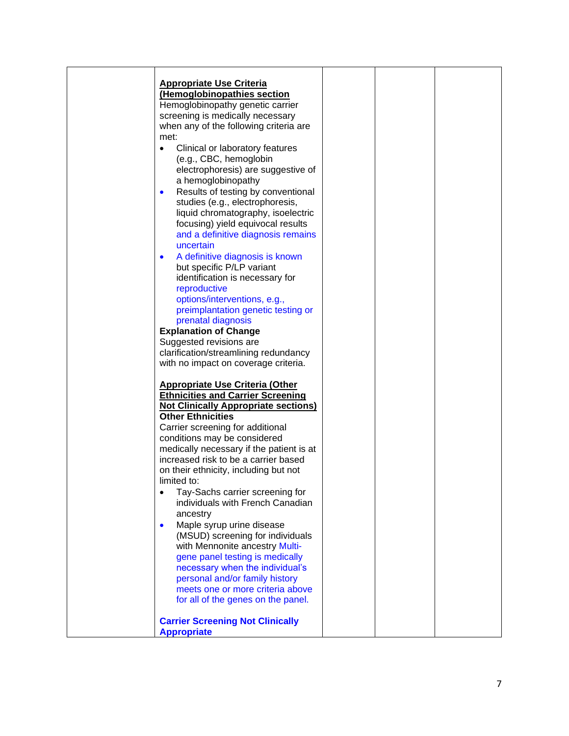| <b>Appropriate Use Criteria</b><br>(Hemoglobinopathies section<br>Hemoglobinopathy genetic carrier<br>screening is medically necessary<br>when any of the following criteria are<br>met:<br>Clinical or laboratory features<br>$\bullet$<br>(e.g., CBC, hemoglobin<br>electrophoresis) are suggestive of<br>a hemoglobinopathy<br>Results of testing by conventional<br>$\bullet$<br>studies (e.g., electrophoresis,<br>liquid chromatography, isoelectric |  |
|------------------------------------------------------------------------------------------------------------------------------------------------------------------------------------------------------------------------------------------------------------------------------------------------------------------------------------------------------------------------------------------------------------------------------------------------------------|--|
|                                                                                                                                                                                                                                                                                                                                                                                                                                                            |  |
|                                                                                                                                                                                                                                                                                                                                                                                                                                                            |  |
|                                                                                                                                                                                                                                                                                                                                                                                                                                                            |  |
|                                                                                                                                                                                                                                                                                                                                                                                                                                                            |  |
|                                                                                                                                                                                                                                                                                                                                                                                                                                                            |  |
|                                                                                                                                                                                                                                                                                                                                                                                                                                                            |  |
|                                                                                                                                                                                                                                                                                                                                                                                                                                                            |  |
|                                                                                                                                                                                                                                                                                                                                                                                                                                                            |  |
|                                                                                                                                                                                                                                                                                                                                                                                                                                                            |  |
|                                                                                                                                                                                                                                                                                                                                                                                                                                                            |  |
|                                                                                                                                                                                                                                                                                                                                                                                                                                                            |  |
|                                                                                                                                                                                                                                                                                                                                                                                                                                                            |  |
|                                                                                                                                                                                                                                                                                                                                                                                                                                                            |  |
| focusing) yield equivocal results                                                                                                                                                                                                                                                                                                                                                                                                                          |  |
| and a definitive diagnosis remains                                                                                                                                                                                                                                                                                                                                                                                                                         |  |
| uncertain                                                                                                                                                                                                                                                                                                                                                                                                                                                  |  |
| A definitive diagnosis is known<br>$\bullet$                                                                                                                                                                                                                                                                                                                                                                                                               |  |
| but specific P/LP variant                                                                                                                                                                                                                                                                                                                                                                                                                                  |  |
| identification is necessary for                                                                                                                                                                                                                                                                                                                                                                                                                            |  |
| reproductive                                                                                                                                                                                                                                                                                                                                                                                                                                               |  |
| options/interventions, e.g.,                                                                                                                                                                                                                                                                                                                                                                                                                               |  |
| preimplantation genetic testing or                                                                                                                                                                                                                                                                                                                                                                                                                         |  |
| prenatal diagnosis                                                                                                                                                                                                                                                                                                                                                                                                                                         |  |
| <b>Explanation of Change</b>                                                                                                                                                                                                                                                                                                                                                                                                                               |  |
| Suggested revisions are                                                                                                                                                                                                                                                                                                                                                                                                                                    |  |
| clarification/streamlining redundancy                                                                                                                                                                                                                                                                                                                                                                                                                      |  |
| with no impact on coverage criteria.                                                                                                                                                                                                                                                                                                                                                                                                                       |  |
|                                                                                                                                                                                                                                                                                                                                                                                                                                                            |  |
| <b>Appropriate Use Criteria (Other</b>                                                                                                                                                                                                                                                                                                                                                                                                                     |  |
| <b>Ethnicities and Carrier Screening</b>                                                                                                                                                                                                                                                                                                                                                                                                                   |  |
| <b>Not Clinically Appropriate sections)</b>                                                                                                                                                                                                                                                                                                                                                                                                                |  |
| <b>Other Ethnicities</b>                                                                                                                                                                                                                                                                                                                                                                                                                                   |  |
| Carrier screening for additional                                                                                                                                                                                                                                                                                                                                                                                                                           |  |
| conditions may be considered                                                                                                                                                                                                                                                                                                                                                                                                                               |  |
| medically necessary if the patient is at                                                                                                                                                                                                                                                                                                                                                                                                                   |  |
| increased risk to be a carrier based                                                                                                                                                                                                                                                                                                                                                                                                                       |  |
| on their ethnicity, including but not                                                                                                                                                                                                                                                                                                                                                                                                                      |  |
| limited to:                                                                                                                                                                                                                                                                                                                                                                                                                                                |  |
| Tay-Sachs carrier screening for<br>$\bullet$                                                                                                                                                                                                                                                                                                                                                                                                               |  |
| individuals with French Canadian                                                                                                                                                                                                                                                                                                                                                                                                                           |  |
| ancestry                                                                                                                                                                                                                                                                                                                                                                                                                                                   |  |
| Maple syrup urine disease<br>$\bullet$                                                                                                                                                                                                                                                                                                                                                                                                                     |  |
| (MSUD) screening for individuals                                                                                                                                                                                                                                                                                                                                                                                                                           |  |
| with Mennonite ancestry Multi-                                                                                                                                                                                                                                                                                                                                                                                                                             |  |
| gene panel testing is medically                                                                                                                                                                                                                                                                                                                                                                                                                            |  |
| necessary when the individual's                                                                                                                                                                                                                                                                                                                                                                                                                            |  |
| personal and/or family history                                                                                                                                                                                                                                                                                                                                                                                                                             |  |
| meets one or more criteria above                                                                                                                                                                                                                                                                                                                                                                                                                           |  |
| for all of the genes on the panel.                                                                                                                                                                                                                                                                                                                                                                                                                         |  |
|                                                                                                                                                                                                                                                                                                                                                                                                                                                            |  |
| <b>Carrier Screening Not Clinically</b>                                                                                                                                                                                                                                                                                                                                                                                                                    |  |
| <b>Appropriate</b>                                                                                                                                                                                                                                                                                                                                                                                                                                         |  |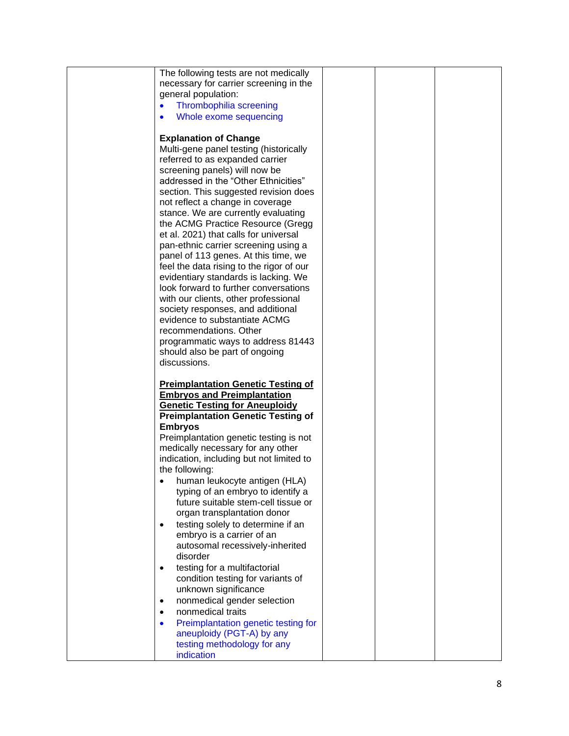| necessary for carrier screening in the<br>general population:<br>Thrombophilia screening<br>$\bullet$<br>Whole exome sequencing<br>$\bullet$<br><b>Explanation of Change</b><br>Multi-gene panel testing (historically<br>referred to as expanded carrier<br>screening panels) will now be<br>addressed in the "Other Ethnicities"<br>section. This suggested revision does<br>not reflect a change in coverage<br>stance. We are currently evaluating<br>the ACMG Practice Resource (Gregg<br>et al. 2021) that calls for universal<br>pan-ethnic carrier screening using a<br>panel of 113 genes. At this time, we<br>feel the data rising to the rigor of our<br>evidentiary standards is lacking. We<br>look forward to further conversations<br>with our clients, other professional<br>society responses, and additional<br>evidence to substantiate ACMG<br>recommendations. Other<br>programmatic ways to address 81443<br>should also be part of ongoing<br>discussions.<br><b>Preimplantation Genetic Testing of</b><br><b>Embryos and Preimplantation</b><br><b>Genetic Testing for Aneuploidy</b><br><b>Preimplantation Genetic Testing of</b><br><b>Embryos</b><br>Preimplantation genetic testing is not<br>medically necessary for any other<br>indication, including but not limited to<br>the following:<br>human leukocyte antigen (HLA)<br>typing of an embryo to identify a<br>future suitable stem-cell tissue or<br>organ transplantation donor<br>testing solely to determine if an<br>$\bullet$<br>embryo is a carrier of an<br>autosomal recessively-inherited<br>disorder<br>testing for a multifactorial<br>$\bullet$<br>condition testing for variants of<br>unknown significance<br>٠ | The following tests are not medically |  |  |
|--------------------------------------------------------------------------------------------------------------------------------------------------------------------------------------------------------------------------------------------------------------------------------------------------------------------------------------------------------------------------------------------------------------------------------------------------------------------------------------------------------------------------------------------------------------------------------------------------------------------------------------------------------------------------------------------------------------------------------------------------------------------------------------------------------------------------------------------------------------------------------------------------------------------------------------------------------------------------------------------------------------------------------------------------------------------------------------------------------------------------------------------------------------------------------------------------------------------------------------------------------------------------------------------------------------------------------------------------------------------------------------------------------------------------------------------------------------------------------------------------------------------------------------------------------------------------------------------------------------------------------------------------------------------------------------------------------------------|---------------------------------------|--|--|
|                                                                                                                                                                                                                                                                                                                                                                                                                                                                                                                                                                                                                                                                                                                                                                                                                                                                                                                                                                                                                                                                                                                                                                                                                                                                                                                                                                                                                                                                                                                                                                                                                                                                                                                    |                                       |  |  |
|                                                                                                                                                                                                                                                                                                                                                                                                                                                                                                                                                                                                                                                                                                                                                                                                                                                                                                                                                                                                                                                                                                                                                                                                                                                                                                                                                                                                                                                                                                                                                                                                                                                                                                                    |                                       |  |  |
|                                                                                                                                                                                                                                                                                                                                                                                                                                                                                                                                                                                                                                                                                                                                                                                                                                                                                                                                                                                                                                                                                                                                                                                                                                                                                                                                                                                                                                                                                                                                                                                                                                                                                                                    |                                       |  |  |
|                                                                                                                                                                                                                                                                                                                                                                                                                                                                                                                                                                                                                                                                                                                                                                                                                                                                                                                                                                                                                                                                                                                                                                                                                                                                                                                                                                                                                                                                                                                                                                                                                                                                                                                    |                                       |  |  |
|                                                                                                                                                                                                                                                                                                                                                                                                                                                                                                                                                                                                                                                                                                                                                                                                                                                                                                                                                                                                                                                                                                                                                                                                                                                                                                                                                                                                                                                                                                                                                                                                                                                                                                                    |                                       |  |  |
|                                                                                                                                                                                                                                                                                                                                                                                                                                                                                                                                                                                                                                                                                                                                                                                                                                                                                                                                                                                                                                                                                                                                                                                                                                                                                                                                                                                                                                                                                                                                                                                                                                                                                                                    |                                       |  |  |
|                                                                                                                                                                                                                                                                                                                                                                                                                                                                                                                                                                                                                                                                                                                                                                                                                                                                                                                                                                                                                                                                                                                                                                                                                                                                                                                                                                                                                                                                                                                                                                                                                                                                                                                    |                                       |  |  |
|                                                                                                                                                                                                                                                                                                                                                                                                                                                                                                                                                                                                                                                                                                                                                                                                                                                                                                                                                                                                                                                                                                                                                                                                                                                                                                                                                                                                                                                                                                                                                                                                                                                                                                                    |                                       |  |  |
|                                                                                                                                                                                                                                                                                                                                                                                                                                                                                                                                                                                                                                                                                                                                                                                                                                                                                                                                                                                                                                                                                                                                                                                                                                                                                                                                                                                                                                                                                                                                                                                                                                                                                                                    |                                       |  |  |
|                                                                                                                                                                                                                                                                                                                                                                                                                                                                                                                                                                                                                                                                                                                                                                                                                                                                                                                                                                                                                                                                                                                                                                                                                                                                                                                                                                                                                                                                                                                                                                                                                                                                                                                    |                                       |  |  |
|                                                                                                                                                                                                                                                                                                                                                                                                                                                                                                                                                                                                                                                                                                                                                                                                                                                                                                                                                                                                                                                                                                                                                                                                                                                                                                                                                                                                                                                                                                                                                                                                                                                                                                                    |                                       |  |  |
|                                                                                                                                                                                                                                                                                                                                                                                                                                                                                                                                                                                                                                                                                                                                                                                                                                                                                                                                                                                                                                                                                                                                                                                                                                                                                                                                                                                                                                                                                                                                                                                                                                                                                                                    |                                       |  |  |
|                                                                                                                                                                                                                                                                                                                                                                                                                                                                                                                                                                                                                                                                                                                                                                                                                                                                                                                                                                                                                                                                                                                                                                                                                                                                                                                                                                                                                                                                                                                                                                                                                                                                                                                    |                                       |  |  |
|                                                                                                                                                                                                                                                                                                                                                                                                                                                                                                                                                                                                                                                                                                                                                                                                                                                                                                                                                                                                                                                                                                                                                                                                                                                                                                                                                                                                                                                                                                                                                                                                                                                                                                                    |                                       |  |  |
|                                                                                                                                                                                                                                                                                                                                                                                                                                                                                                                                                                                                                                                                                                                                                                                                                                                                                                                                                                                                                                                                                                                                                                                                                                                                                                                                                                                                                                                                                                                                                                                                                                                                                                                    |                                       |  |  |
|                                                                                                                                                                                                                                                                                                                                                                                                                                                                                                                                                                                                                                                                                                                                                                                                                                                                                                                                                                                                                                                                                                                                                                                                                                                                                                                                                                                                                                                                                                                                                                                                                                                                                                                    |                                       |  |  |
|                                                                                                                                                                                                                                                                                                                                                                                                                                                                                                                                                                                                                                                                                                                                                                                                                                                                                                                                                                                                                                                                                                                                                                                                                                                                                                                                                                                                                                                                                                                                                                                                                                                                                                                    |                                       |  |  |
|                                                                                                                                                                                                                                                                                                                                                                                                                                                                                                                                                                                                                                                                                                                                                                                                                                                                                                                                                                                                                                                                                                                                                                                                                                                                                                                                                                                                                                                                                                                                                                                                                                                                                                                    |                                       |  |  |
|                                                                                                                                                                                                                                                                                                                                                                                                                                                                                                                                                                                                                                                                                                                                                                                                                                                                                                                                                                                                                                                                                                                                                                                                                                                                                                                                                                                                                                                                                                                                                                                                                                                                                                                    |                                       |  |  |
|                                                                                                                                                                                                                                                                                                                                                                                                                                                                                                                                                                                                                                                                                                                                                                                                                                                                                                                                                                                                                                                                                                                                                                                                                                                                                                                                                                                                                                                                                                                                                                                                                                                                                                                    |                                       |  |  |
|                                                                                                                                                                                                                                                                                                                                                                                                                                                                                                                                                                                                                                                                                                                                                                                                                                                                                                                                                                                                                                                                                                                                                                                                                                                                                                                                                                                                                                                                                                                                                                                                                                                                                                                    |                                       |  |  |
|                                                                                                                                                                                                                                                                                                                                                                                                                                                                                                                                                                                                                                                                                                                                                                                                                                                                                                                                                                                                                                                                                                                                                                                                                                                                                                                                                                                                                                                                                                                                                                                                                                                                                                                    |                                       |  |  |
|                                                                                                                                                                                                                                                                                                                                                                                                                                                                                                                                                                                                                                                                                                                                                                                                                                                                                                                                                                                                                                                                                                                                                                                                                                                                                                                                                                                                                                                                                                                                                                                                                                                                                                                    |                                       |  |  |
|                                                                                                                                                                                                                                                                                                                                                                                                                                                                                                                                                                                                                                                                                                                                                                                                                                                                                                                                                                                                                                                                                                                                                                                                                                                                                                                                                                                                                                                                                                                                                                                                                                                                                                                    |                                       |  |  |
|                                                                                                                                                                                                                                                                                                                                                                                                                                                                                                                                                                                                                                                                                                                                                                                                                                                                                                                                                                                                                                                                                                                                                                                                                                                                                                                                                                                                                                                                                                                                                                                                                                                                                                                    |                                       |  |  |
|                                                                                                                                                                                                                                                                                                                                                                                                                                                                                                                                                                                                                                                                                                                                                                                                                                                                                                                                                                                                                                                                                                                                                                                                                                                                                                                                                                                                                                                                                                                                                                                                                                                                                                                    |                                       |  |  |
|                                                                                                                                                                                                                                                                                                                                                                                                                                                                                                                                                                                                                                                                                                                                                                                                                                                                                                                                                                                                                                                                                                                                                                                                                                                                                                                                                                                                                                                                                                                                                                                                                                                                                                                    |                                       |  |  |
|                                                                                                                                                                                                                                                                                                                                                                                                                                                                                                                                                                                                                                                                                                                                                                                                                                                                                                                                                                                                                                                                                                                                                                                                                                                                                                                                                                                                                                                                                                                                                                                                                                                                                                                    |                                       |  |  |
|                                                                                                                                                                                                                                                                                                                                                                                                                                                                                                                                                                                                                                                                                                                                                                                                                                                                                                                                                                                                                                                                                                                                                                                                                                                                                                                                                                                                                                                                                                                                                                                                                                                                                                                    |                                       |  |  |
|                                                                                                                                                                                                                                                                                                                                                                                                                                                                                                                                                                                                                                                                                                                                                                                                                                                                                                                                                                                                                                                                                                                                                                                                                                                                                                                                                                                                                                                                                                                                                                                                                                                                                                                    |                                       |  |  |
|                                                                                                                                                                                                                                                                                                                                                                                                                                                                                                                                                                                                                                                                                                                                                                                                                                                                                                                                                                                                                                                                                                                                                                                                                                                                                                                                                                                                                                                                                                                                                                                                                                                                                                                    |                                       |  |  |
|                                                                                                                                                                                                                                                                                                                                                                                                                                                                                                                                                                                                                                                                                                                                                                                                                                                                                                                                                                                                                                                                                                                                                                                                                                                                                                                                                                                                                                                                                                                                                                                                                                                                                                                    |                                       |  |  |
|                                                                                                                                                                                                                                                                                                                                                                                                                                                                                                                                                                                                                                                                                                                                                                                                                                                                                                                                                                                                                                                                                                                                                                                                                                                                                                                                                                                                                                                                                                                                                                                                                                                                                                                    |                                       |  |  |
|                                                                                                                                                                                                                                                                                                                                                                                                                                                                                                                                                                                                                                                                                                                                                                                                                                                                                                                                                                                                                                                                                                                                                                                                                                                                                                                                                                                                                                                                                                                                                                                                                                                                                                                    |                                       |  |  |
|                                                                                                                                                                                                                                                                                                                                                                                                                                                                                                                                                                                                                                                                                                                                                                                                                                                                                                                                                                                                                                                                                                                                                                                                                                                                                                                                                                                                                                                                                                                                                                                                                                                                                                                    |                                       |  |  |
|                                                                                                                                                                                                                                                                                                                                                                                                                                                                                                                                                                                                                                                                                                                                                                                                                                                                                                                                                                                                                                                                                                                                                                                                                                                                                                                                                                                                                                                                                                                                                                                                                                                                                                                    |                                       |  |  |
|                                                                                                                                                                                                                                                                                                                                                                                                                                                                                                                                                                                                                                                                                                                                                                                                                                                                                                                                                                                                                                                                                                                                                                                                                                                                                                                                                                                                                                                                                                                                                                                                                                                                                                                    |                                       |  |  |
|                                                                                                                                                                                                                                                                                                                                                                                                                                                                                                                                                                                                                                                                                                                                                                                                                                                                                                                                                                                                                                                                                                                                                                                                                                                                                                                                                                                                                                                                                                                                                                                                                                                                                                                    |                                       |  |  |
|                                                                                                                                                                                                                                                                                                                                                                                                                                                                                                                                                                                                                                                                                                                                                                                                                                                                                                                                                                                                                                                                                                                                                                                                                                                                                                                                                                                                                                                                                                                                                                                                                                                                                                                    |                                       |  |  |
|                                                                                                                                                                                                                                                                                                                                                                                                                                                                                                                                                                                                                                                                                                                                                                                                                                                                                                                                                                                                                                                                                                                                                                                                                                                                                                                                                                                                                                                                                                                                                                                                                                                                                                                    |                                       |  |  |
|                                                                                                                                                                                                                                                                                                                                                                                                                                                                                                                                                                                                                                                                                                                                                                                                                                                                                                                                                                                                                                                                                                                                                                                                                                                                                                                                                                                                                                                                                                                                                                                                                                                                                                                    |                                       |  |  |
|                                                                                                                                                                                                                                                                                                                                                                                                                                                                                                                                                                                                                                                                                                                                                                                                                                                                                                                                                                                                                                                                                                                                                                                                                                                                                                                                                                                                                                                                                                                                                                                                                                                                                                                    |                                       |  |  |
|                                                                                                                                                                                                                                                                                                                                                                                                                                                                                                                                                                                                                                                                                                                                                                                                                                                                                                                                                                                                                                                                                                                                                                                                                                                                                                                                                                                                                                                                                                                                                                                                                                                                                                                    |                                       |  |  |
|                                                                                                                                                                                                                                                                                                                                                                                                                                                                                                                                                                                                                                                                                                                                                                                                                                                                                                                                                                                                                                                                                                                                                                                                                                                                                                                                                                                                                                                                                                                                                                                                                                                                                                                    |                                       |  |  |
|                                                                                                                                                                                                                                                                                                                                                                                                                                                                                                                                                                                                                                                                                                                                                                                                                                                                                                                                                                                                                                                                                                                                                                                                                                                                                                                                                                                                                                                                                                                                                                                                                                                                                                                    |                                       |  |  |
|                                                                                                                                                                                                                                                                                                                                                                                                                                                                                                                                                                                                                                                                                                                                                                                                                                                                                                                                                                                                                                                                                                                                                                                                                                                                                                                                                                                                                                                                                                                                                                                                                                                                                                                    |                                       |  |  |
|                                                                                                                                                                                                                                                                                                                                                                                                                                                                                                                                                                                                                                                                                                                                                                                                                                                                                                                                                                                                                                                                                                                                                                                                                                                                                                                                                                                                                                                                                                                                                                                                                                                                                                                    |                                       |  |  |
|                                                                                                                                                                                                                                                                                                                                                                                                                                                                                                                                                                                                                                                                                                                                                                                                                                                                                                                                                                                                                                                                                                                                                                                                                                                                                                                                                                                                                                                                                                                                                                                                                                                                                                                    |                                       |  |  |
|                                                                                                                                                                                                                                                                                                                                                                                                                                                                                                                                                                                                                                                                                                                                                                                                                                                                                                                                                                                                                                                                                                                                                                                                                                                                                                                                                                                                                                                                                                                                                                                                                                                                                                                    |                                       |  |  |
|                                                                                                                                                                                                                                                                                                                                                                                                                                                                                                                                                                                                                                                                                                                                                                                                                                                                                                                                                                                                                                                                                                                                                                                                                                                                                                                                                                                                                                                                                                                                                                                                                                                                                                                    |                                       |  |  |
|                                                                                                                                                                                                                                                                                                                                                                                                                                                                                                                                                                                                                                                                                                                                                                                                                                                                                                                                                                                                                                                                                                                                                                                                                                                                                                                                                                                                                                                                                                                                                                                                                                                                                                                    |                                       |  |  |
|                                                                                                                                                                                                                                                                                                                                                                                                                                                                                                                                                                                                                                                                                                                                                                                                                                                                                                                                                                                                                                                                                                                                                                                                                                                                                                                                                                                                                                                                                                                                                                                                                                                                                                                    |                                       |  |  |
|                                                                                                                                                                                                                                                                                                                                                                                                                                                                                                                                                                                                                                                                                                                                                                                                                                                                                                                                                                                                                                                                                                                                                                                                                                                                                                                                                                                                                                                                                                                                                                                                                                                                                                                    |                                       |  |  |
|                                                                                                                                                                                                                                                                                                                                                                                                                                                                                                                                                                                                                                                                                                                                                                                                                                                                                                                                                                                                                                                                                                                                                                                                                                                                                                                                                                                                                                                                                                                                                                                                                                                                                                                    |                                       |  |  |
|                                                                                                                                                                                                                                                                                                                                                                                                                                                                                                                                                                                                                                                                                                                                                                                                                                                                                                                                                                                                                                                                                                                                                                                                                                                                                                                                                                                                                                                                                                                                                                                                                                                                                                                    |                                       |  |  |
|                                                                                                                                                                                                                                                                                                                                                                                                                                                                                                                                                                                                                                                                                                                                                                                                                                                                                                                                                                                                                                                                                                                                                                                                                                                                                                                                                                                                                                                                                                                                                                                                                                                                                                                    |                                       |  |  |
|                                                                                                                                                                                                                                                                                                                                                                                                                                                                                                                                                                                                                                                                                                                                                                                                                                                                                                                                                                                                                                                                                                                                                                                                                                                                                                                                                                                                                                                                                                                                                                                                                                                                                                                    |                                       |  |  |
|                                                                                                                                                                                                                                                                                                                                                                                                                                                                                                                                                                                                                                                                                                                                                                                                                                                                                                                                                                                                                                                                                                                                                                                                                                                                                                                                                                                                                                                                                                                                                                                                                                                                                                                    | nonmedical gender selection           |  |  |
| nonmedical traits<br>$\bullet$                                                                                                                                                                                                                                                                                                                                                                                                                                                                                                                                                                                                                                                                                                                                                                                                                                                                                                                                                                                                                                                                                                                                                                                                                                                                                                                                                                                                                                                                                                                                                                                                                                                                                     |                                       |  |  |
| Preimplantation genetic testing for                                                                                                                                                                                                                                                                                                                                                                                                                                                                                                                                                                                                                                                                                                                                                                                                                                                                                                                                                                                                                                                                                                                                                                                                                                                                                                                                                                                                                                                                                                                                                                                                                                                                                |                                       |  |  |
|                                                                                                                                                                                                                                                                                                                                                                                                                                                                                                                                                                                                                                                                                                                                                                                                                                                                                                                                                                                                                                                                                                                                                                                                                                                                                                                                                                                                                                                                                                                                                                                                                                                                                                                    |                                       |  |  |
| aneuploidy (PGT-A) by any                                                                                                                                                                                                                                                                                                                                                                                                                                                                                                                                                                                                                                                                                                                                                                                                                                                                                                                                                                                                                                                                                                                                                                                                                                                                                                                                                                                                                                                                                                                                                                                                                                                                                          |                                       |  |  |
| testing methodology for any                                                                                                                                                                                                                                                                                                                                                                                                                                                                                                                                                                                                                                                                                                                                                                                                                                                                                                                                                                                                                                                                                                                                                                                                                                                                                                                                                                                                                                                                                                                                                                                                                                                                                        |                                       |  |  |
| indication                                                                                                                                                                                                                                                                                                                                                                                                                                                                                                                                                                                                                                                                                                                                                                                                                                                                                                                                                                                                                                                                                                                                                                                                                                                                                                                                                                                                                                                                                                                                                                                                                                                                                                         |                                       |  |  |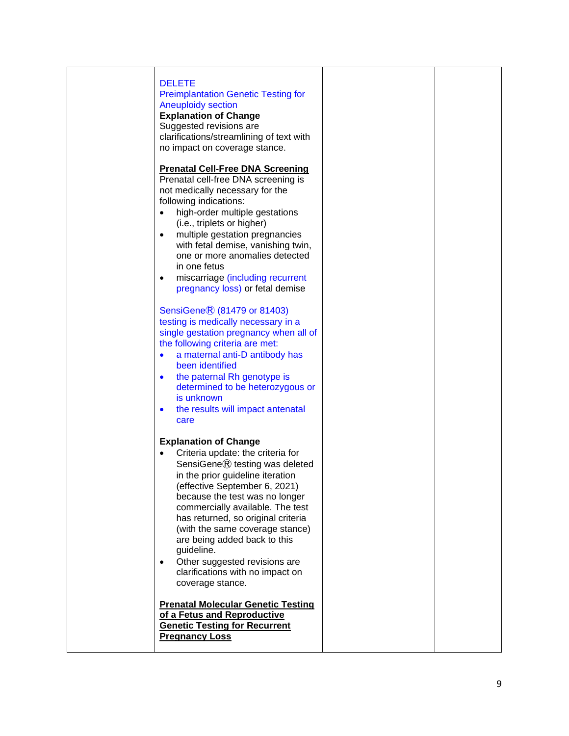| <b>DELETE</b><br><b>Preimplantation Genetic Testing for</b><br><b>Aneuploidy section</b><br><b>Explanation of Change</b><br>Suggested revisions are<br>clarifications/streamlining of text with<br>no impact on coverage stance.<br><b>Prenatal Cell-Free DNA Screening</b><br>Prenatal cell-free DNA screening is<br>not medically necessary for the<br>following indications:<br>high-order multiple gestations<br>$\bullet$<br>(i.e., triplets or higher)<br>multiple gestation pregnancies<br>$\bullet$<br>with fetal demise, vanishing twin,<br>one or more anomalies detected<br>in one fetus<br>miscarriage (including recurrent<br>$\bullet$ |  |  |
|------------------------------------------------------------------------------------------------------------------------------------------------------------------------------------------------------------------------------------------------------------------------------------------------------------------------------------------------------------------------------------------------------------------------------------------------------------------------------------------------------------------------------------------------------------------------------------------------------------------------------------------------------|--|--|
| pregnancy loss) or fetal demise<br>SensiGene <sup>®</sup> (81479 or 81403)<br>testing is medically necessary in a<br>single gestation pregnancy when all of<br>the following criteria are met:<br>a maternal anti-D antibody has<br>$\bullet$<br>been identified<br>the paternal Rh genotype is<br>$\bullet$<br>determined to be heterozygous or<br>is unknown<br>the results will impact antenatal<br>$\bullet$<br>care                                                                                                                                                                                                                             |  |  |
| <b>Explanation of Change</b><br>Criteria update: the criteria for<br>SensiGene® testing was deleted<br>in the prior guideline iteration<br>(effective September 6, 2021)<br>because the test was no longer<br>commercially available. The test<br>has returned, so original criteria<br>(with the same coverage stance)<br>are being added back to this<br>guideline.<br>Other suggested revisions are<br>$\bullet$<br>clarifications with no impact on<br>coverage stance.                                                                                                                                                                          |  |  |
| <b>Prenatal Molecular Genetic Testing</b><br>of a Fetus and Reproductive<br><b>Genetic Testing for Recurrent</b><br><b>Pregnancy Loss</b>                                                                                                                                                                                                                                                                                                                                                                                                                                                                                                            |  |  |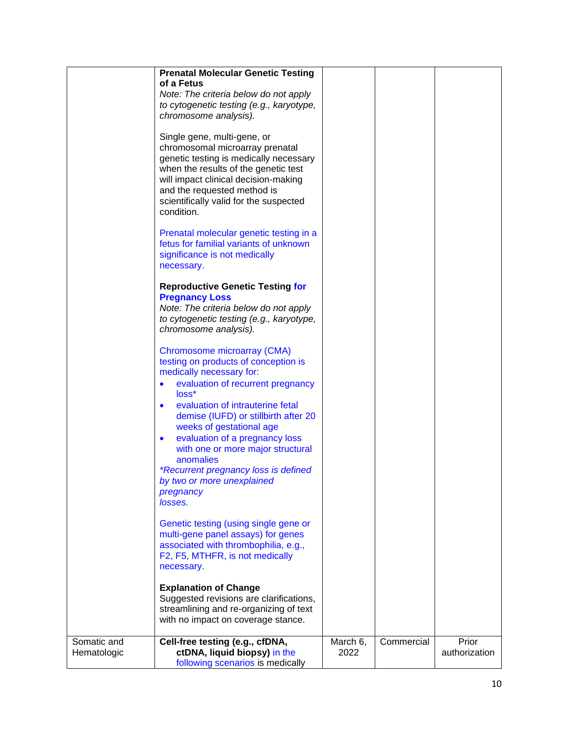|                            | <b>Prenatal Molecular Genetic Testing</b><br>of a Fetus<br>Note: The criteria below do not apply<br>to cytogenetic testing (e.g., karyotype,<br>chromosome analysis).<br>Single gene, multi-gene, or<br>chromosomal microarray prenatal<br>genetic testing is medically necessary<br>when the results of the genetic test<br>will impact clinical decision-making<br>and the requested method is<br>scientifically valid for the suspected<br>condition.<br>Prenatal molecular genetic testing in a<br>fetus for familial variants of unknown<br>significance is not medically<br>necessary.<br><b>Reproductive Genetic Testing for</b><br><b>Pregnancy Loss</b><br>Note: The criteria below do not apply<br>to cytogenetic testing (e.g., karyotype,<br>chromosome analysis).<br>Chromosome microarray (CMA)<br>testing on products of conception is<br>medically necessary for:<br>evaluation of recurrent pregnancy<br>loss*<br>evaluation of intrauterine fetal<br>$\bullet$<br>demise (IUFD) or stillbirth after 20<br>weeks of gestational age<br>evaluation of a pregnancy loss<br>$\bullet$<br>with one or more major structural<br>anomalies<br><i>*Recurrent pregnancy loss is defined</i><br>by two or more unexplained<br>pregnancy<br>losses.<br>Genetic testing (using single gene or<br>multi-gene panel assays) for genes<br>associated with thrombophilia, e.g.,<br>F2, F5, MTHFR, is not medically<br>necessary.<br><b>Explanation of Change</b> |                  |            |                        |
|----------------------------|--------------------------------------------------------------------------------------------------------------------------------------------------------------------------------------------------------------------------------------------------------------------------------------------------------------------------------------------------------------------------------------------------------------------------------------------------------------------------------------------------------------------------------------------------------------------------------------------------------------------------------------------------------------------------------------------------------------------------------------------------------------------------------------------------------------------------------------------------------------------------------------------------------------------------------------------------------------------------------------------------------------------------------------------------------------------------------------------------------------------------------------------------------------------------------------------------------------------------------------------------------------------------------------------------------------------------------------------------------------------------------------------------------------------------------------------------------------------|------------------|------------|------------------------|
|                            | Suggested revisions are clarifications,<br>streamlining and re-organizing of text<br>with no impact on coverage stance.                                                                                                                                                                                                                                                                                                                                                                                                                                                                                                                                                                                                                                                                                                                                                                                                                                                                                                                                                                                                                                                                                                                                                                                                                                                                                                                                            |                  |            |                        |
| Somatic and<br>Hematologic | Cell-free testing (e.g., cfDNA,<br>ctDNA, liquid biopsy) in the<br>following scenarios is medically                                                                                                                                                                                                                                                                                                                                                                                                                                                                                                                                                                                                                                                                                                                                                                                                                                                                                                                                                                                                                                                                                                                                                                                                                                                                                                                                                                | March 6,<br>2022 | Commercial | Prior<br>authorization |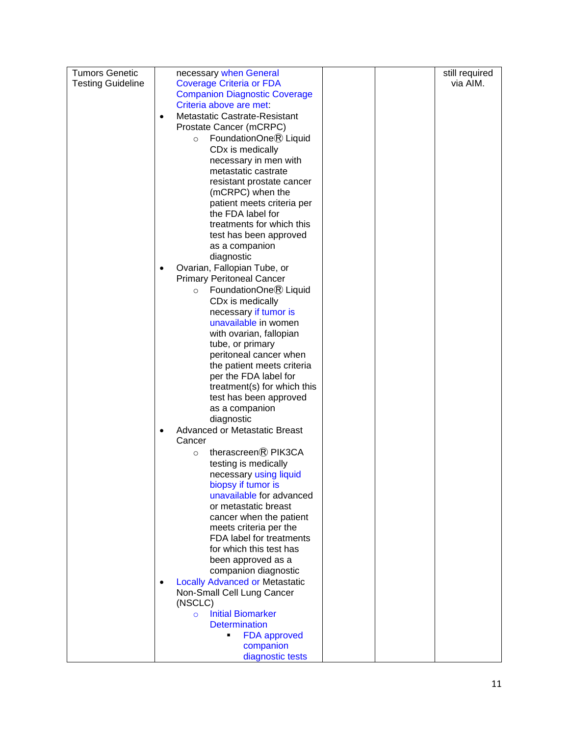| <b>Tumors Genetic</b>    |           | necessary when General                                      |  | still required |
|--------------------------|-----------|-------------------------------------------------------------|--|----------------|
| <b>Testing Guideline</b> |           | <b>Coverage Criteria or FDA</b>                             |  | via AIM.       |
|                          |           | <b>Companion Diagnostic Coverage</b>                        |  |                |
|                          |           | Criteria above are met.                                     |  |                |
|                          | $\bullet$ | Metastatic Castrate-Resistant                               |  |                |
|                          |           | Prostate Cancer (mCRPC)                                     |  |                |
|                          |           | FoundationOne <sup>®</sup> Liquid<br>$\circ$                |  |                |
|                          |           | CD <sub>x</sub> is medically                                |  |                |
|                          |           | necessary in men with                                       |  |                |
|                          |           | metastatic castrate                                         |  |                |
|                          |           | resistant prostate cancer                                   |  |                |
|                          |           | (mCRPC) when the                                            |  |                |
|                          |           | patient meets criteria per<br>the FDA label for             |  |                |
|                          |           | treatments for which this                                   |  |                |
|                          |           | test has been approved                                      |  |                |
|                          |           | as a companion                                              |  |                |
|                          |           | diagnostic                                                  |  |                |
|                          |           | Ovarian, Fallopian Tube, or                                 |  |                |
|                          |           | <b>Primary Peritoneal Cancer</b>                            |  |                |
|                          |           | FoundationOne® Liquid<br>$\circ$                            |  |                |
|                          |           | CD <sub>x</sub> is medically                                |  |                |
|                          |           | necessary if tumor is                                       |  |                |
|                          |           | unavailable in women                                        |  |                |
|                          |           | with ovarian, fallopian                                     |  |                |
|                          |           | tube, or primary                                            |  |                |
|                          |           | peritoneal cancer when                                      |  |                |
|                          |           | the patient meets criteria                                  |  |                |
|                          |           | per the FDA label for                                       |  |                |
|                          |           | treatment(s) for which this                                 |  |                |
|                          |           | test has been approved                                      |  |                |
|                          |           | as a companion                                              |  |                |
|                          |           | diagnostic<br><b>Advanced or Metastatic Breast</b>          |  |                |
|                          |           | Cancer                                                      |  |                |
|                          |           | therascreen® PIK3CA<br>$\circ$                              |  |                |
|                          |           | testing is medically                                        |  |                |
|                          |           | necessary using liquid                                      |  |                |
|                          |           | biopsy if tumor is                                          |  |                |
|                          |           | unavailable for advanced                                    |  |                |
|                          |           | or metastatic breast                                        |  |                |
|                          |           | cancer when the patient                                     |  |                |
|                          |           | meets criteria per the                                      |  |                |
|                          |           | FDA label for treatments                                    |  |                |
|                          |           | for which this test has                                     |  |                |
|                          |           | been approved as a                                          |  |                |
|                          |           | companion diagnostic                                        |  |                |
|                          | $\bullet$ | <b>Locally Advanced or Metastatic</b>                       |  |                |
|                          |           | Non-Small Cell Lung Cancer                                  |  |                |
|                          |           | (NSCLC)                                                     |  |                |
|                          |           | <b>Initial Biomarker</b><br>$\circ$<br><b>Determination</b> |  |                |
|                          |           | <b>FDA</b> approved                                         |  |                |
|                          |           | companion                                                   |  |                |
|                          |           | diagnostic tests                                            |  |                |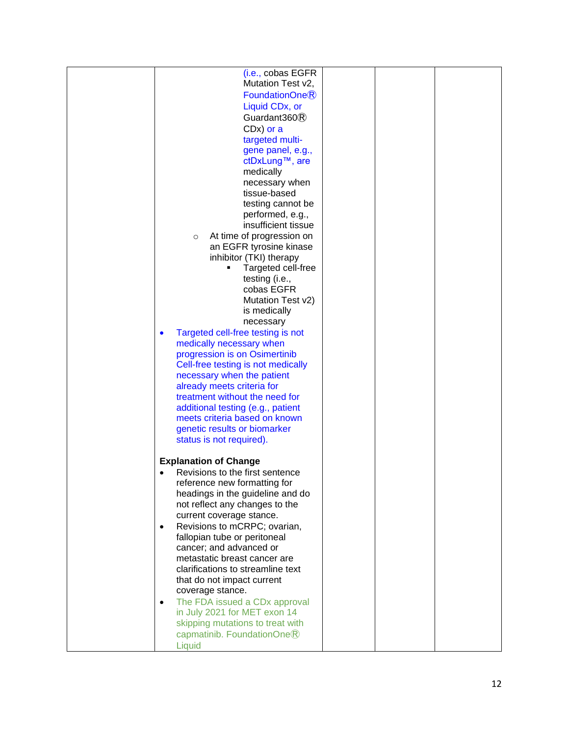| (i.e., cobas EGFR                         |  |  |
|-------------------------------------------|--|--|
|                                           |  |  |
| Mutation Test v2,                         |  |  |
| FoundationOneR                            |  |  |
| Liquid CD <sub>x</sub> , or               |  |  |
| Guardant $360$ $\circ$                    |  |  |
| CD <sub>x</sub> ) or a                    |  |  |
| targeted multi-                           |  |  |
| gene panel, e.g.,                         |  |  |
| ctDxLung™, are                            |  |  |
| medically                                 |  |  |
|                                           |  |  |
| necessary when                            |  |  |
| tissue-based                              |  |  |
| testing cannot be                         |  |  |
| performed, e.g.,                          |  |  |
| insufficient tissue                       |  |  |
| At time of progression on<br>$\circ$      |  |  |
| an EGFR tyrosine kinase                   |  |  |
| inhibitor (TKI) therapy                   |  |  |
| Targeted cell-free                        |  |  |
| testing (i.e.,                            |  |  |
| cobas EGFR                                |  |  |
| Mutation Test v2)                         |  |  |
| is medically                              |  |  |
|                                           |  |  |
| necessary                                 |  |  |
| Targeted cell-free testing is not         |  |  |
| medically necessary when                  |  |  |
| progression is on Osimertinib             |  |  |
| Cell-free testing is not medically        |  |  |
| necessary when the patient                |  |  |
| already meets criteria for                |  |  |
| treatment without the need for            |  |  |
| additional testing (e.g., patient         |  |  |
| meets criteria based on known             |  |  |
| genetic results or biomarker              |  |  |
| status is not required).                  |  |  |
|                                           |  |  |
| <b>Explanation of Change</b>              |  |  |
|                                           |  |  |
| Revisions to the first sentence           |  |  |
| reference new formatting for              |  |  |
| headings in the guideline and do          |  |  |
| not reflect any changes to the            |  |  |
| current coverage stance.                  |  |  |
| Revisions to mCRPC; ovarian,<br>$\bullet$ |  |  |
| fallopian tube or peritoneal              |  |  |
| cancer; and advanced or                   |  |  |
| metastatic breast cancer are              |  |  |
| clarifications to streamline text         |  |  |
| that do not impact current                |  |  |
| coverage stance.                          |  |  |
|                                           |  |  |
| The FDA issued a CDx approval             |  |  |
| in July 2021 for MET exon 14              |  |  |
| skipping mutations to treat with          |  |  |
| capmatinib. FoundationOne $\mathbb R$     |  |  |
| Liquid                                    |  |  |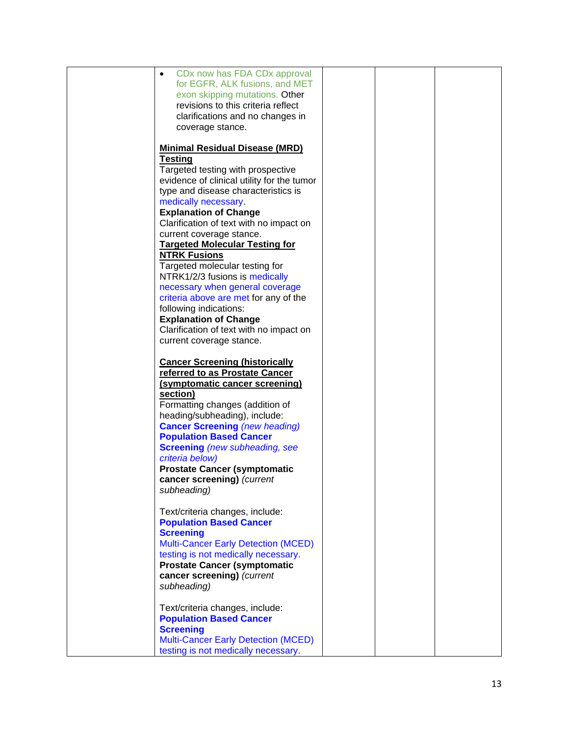| CDx now has FDA CDx approval<br>$\bullet$  |  |  |
|--------------------------------------------|--|--|
| for EGFR, ALK fusions, and MET             |  |  |
| exon skipping mutations. Other             |  |  |
| revisions to this criteria reflect         |  |  |
| clarifications and no changes in           |  |  |
|                                            |  |  |
| coverage stance.                           |  |  |
|                                            |  |  |
| <b>Minimal Residual Disease (MRD)</b>      |  |  |
| <b>Testing</b>                             |  |  |
| Targeted testing with prospective          |  |  |
|                                            |  |  |
| evidence of clinical utility for the tumor |  |  |
| type and disease characteristics is        |  |  |
| medically necessary.                       |  |  |
| <b>Explanation of Change</b>               |  |  |
| Clarification of text with no impact on    |  |  |
| current coverage stance.                   |  |  |
| <b>Targeted Molecular Testing for</b>      |  |  |
|                                            |  |  |
| <b>NTRK Fusions</b>                        |  |  |
| Targeted molecular testing for             |  |  |
| NTRK1/2/3 fusions is medically             |  |  |
| necessary when general coverage            |  |  |
| criteria above are met for any of the      |  |  |
| following indications:                     |  |  |
|                                            |  |  |
| <b>Explanation of Change</b>               |  |  |
| Clarification of text with no impact on    |  |  |
| current coverage stance.                   |  |  |
|                                            |  |  |
| <b>Cancer Screening (historically</b>      |  |  |
| referred to as Prostate Cancer             |  |  |
| (symptomatic cancer screening)             |  |  |
|                                            |  |  |
| section)                                   |  |  |
| Formatting changes (addition of            |  |  |
| heading/subheading), include:              |  |  |
| <b>Cancer Screening (new heading)</b>      |  |  |
| <b>Population Based Cancer</b>             |  |  |
| <b>Screening</b> (new subheading, see      |  |  |
| criteria below)                            |  |  |
| <b>Prostate Cancer (symptomatic</b>        |  |  |
|                                            |  |  |
| cancer screening) (current                 |  |  |
| subheading)                                |  |  |
|                                            |  |  |
| Text/criteria changes, include:            |  |  |
| <b>Population Based Cancer</b>             |  |  |
| <b>Screening</b>                           |  |  |
| <b>Multi-Cancer Early Detection (MCED)</b> |  |  |
|                                            |  |  |
| testing is not medically necessary.        |  |  |
| <b>Prostate Cancer (symptomatic</b>        |  |  |
| cancer screening) (current                 |  |  |
| subheading)                                |  |  |
|                                            |  |  |
| Text/criteria changes, include:            |  |  |
| <b>Population Based Cancer</b>             |  |  |
| <b>Screening</b>                           |  |  |
|                                            |  |  |
| <b>Multi-Cancer Early Detection (MCED)</b> |  |  |
| testing is not medically necessary.        |  |  |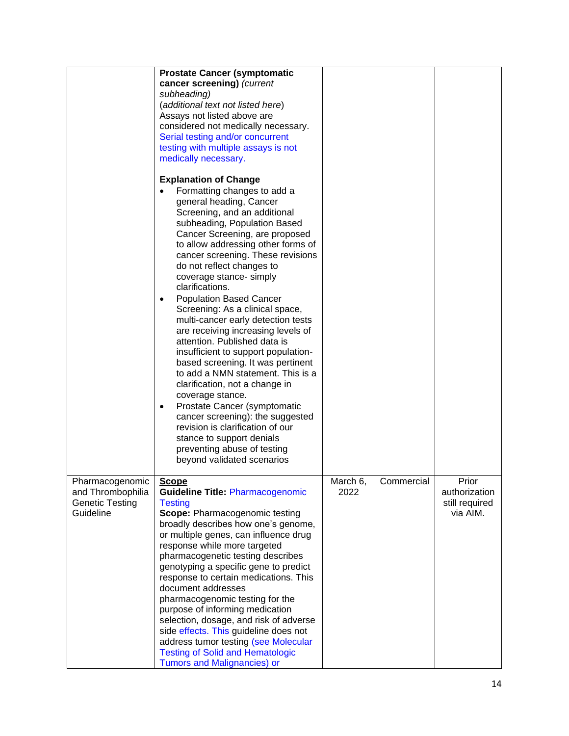|                        | <b>Prostate Cancer (symptomatic</b>                                            |          |            |                |
|------------------------|--------------------------------------------------------------------------------|----------|------------|----------------|
|                        | cancer screening) (current                                                     |          |            |                |
|                        | subheading)                                                                    |          |            |                |
|                        | (additional text not listed here)                                              |          |            |                |
|                        | Assays not listed above are                                                    |          |            |                |
|                        | considered not medically necessary.                                            |          |            |                |
|                        | Serial testing and/or concurrent                                               |          |            |                |
|                        | testing with multiple assays is not                                            |          |            |                |
|                        | medically necessary.                                                           |          |            |                |
|                        |                                                                                |          |            |                |
|                        | <b>Explanation of Change</b>                                                   |          |            |                |
|                        | Formatting changes to add a                                                    |          |            |                |
|                        | general heading, Cancer                                                        |          |            |                |
|                        | Screening, and an additional                                                   |          |            |                |
|                        | subheading, Population Based                                                   |          |            |                |
|                        | Cancer Screening, are proposed                                                 |          |            |                |
|                        | to allow addressing other forms of                                             |          |            |                |
|                        | cancer screening. These revisions<br>do not reflect changes to                 |          |            |                |
|                        | coverage stance- simply                                                        |          |            |                |
|                        | clarifications.                                                                |          |            |                |
|                        | <b>Population Based Cancer</b>                                                 |          |            |                |
|                        | Screening: As a clinical space,                                                |          |            |                |
|                        | multi-cancer early detection tests                                             |          |            |                |
|                        | are receiving increasing levels of                                             |          |            |                |
|                        | attention. Published data is                                                   |          |            |                |
|                        | insufficient to support population-                                            |          |            |                |
|                        | based screening. It was pertinent                                              |          |            |                |
|                        | to add a NMN statement. This is a                                              |          |            |                |
|                        | clarification, not a change in                                                 |          |            |                |
|                        | coverage stance.                                                               |          |            |                |
|                        | Prostate Cancer (symptomatic                                                   |          |            |                |
|                        | cancer screening): the suggested                                               |          |            |                |
|                        | revision is clarification of our                                               |          |            |                |
|                        | stance to support denials                                                      |          |            |                |
|                        | preventing abuse of testing                                                    |          |            |                |
|                        | beyond validated scenarios                                                     |          |            |                |
|                        |                                                                                |          |            |                |
| Pharmacogenomic        | <b>Scope</b>                                                                   | March 6, | Commercial | Prior          |
| and Thrombophilia      | <b>Guideline Title: Pharmacogenomic</b>                                        | 2022     |            | authorization  |
| <b>Genetic Testing</b> | <b>Testing</b>                                                                 |          |            | still required |
| Guideline              | Scope: Pharmacogenomic testing                                                 |          |            | via AIM.       |
|                        | broadly describes how one's genome,                                            |          |            |                |
|                        | or multiple genes, can influence drug                                          |          |            |                |
|                        | response while more targeted                                                   |          |            |                |
|                        | pharmacogenetic testing describes                                              |          |            |                |
|                        | genotyping a specific gene to predict<br>response to certain medications. This |          |            |                |
|                        | document addresses                                                             |          |            |                |
|                        | pharmacogenomic testing for the                                                |          |            |                |
|                        | purpose of informing medication                                                |          |            |                |
|                        | selection, dosage, and risk of adverse                                         |          |            |                |
|                        | side effects. This guideline does not                                          |          |            |                |
|                        | address tumor testing (see Molecular                                           |          |            |                |
|                        | <b>Testing of Solid and Hematologic</b>                                        |          |            |                |
|                        | <b>Tumors and Malignancies) or</b>                                             |          |            |                |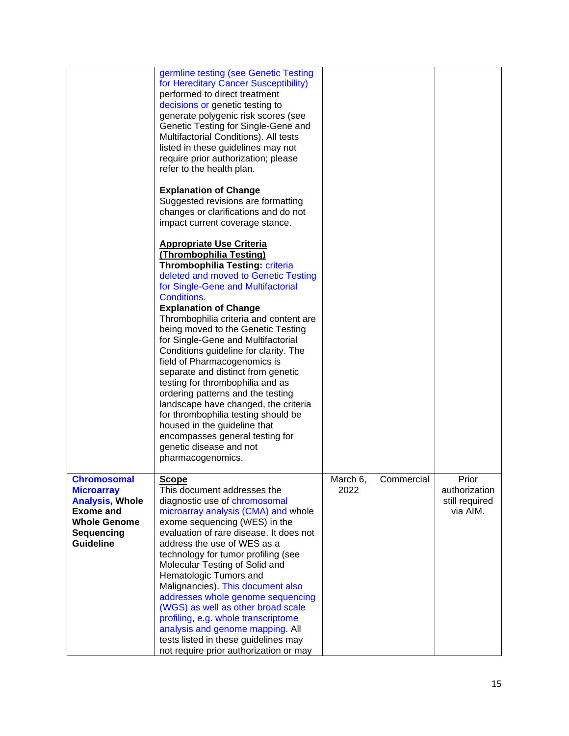|                                                                                                                                                | germline testing (see Genetic Testing<br>for Hereditary Cancer Susceptibility)<br>performed to direct treatment<br>decisions or genetic testing to<br>generate polygenic risk scores (see<br>Genetic Testing for Single-Gene and<br>Multifactorial Conditions). All tests<br>listed in these guidelines may not<br>require prior authorization; please<br>refer to the health plan.                                                                                                                                                                                                                                                                                                                                                        |                  |            |                                                      |
|------------------------------------------------------------------------------------------------------------------------------------------------|--------------------------------------------------------------------------------------------------------------------------------------------------------------------------------------------------------------------------------------------------------------------------------------------------------------------------------------------------------------------------------------------------------------------------------------------------------------------------------------------------------------------------------------------------------------------------------------------------------------------------------------------------------------------------------------------------------------------------------------------|------------------|------------|------------------------------------------------------|
|                                                                                                                                                | <b>Explanation of Change</b><br>Suggested revisions are formatting<br>changes or clarifications and do not<br>impact current coverage stance.                                                                                                                                                                                                                                                                                                                                                                                                                                                                                                                                                                                              |                  |            |                                                      |
|                                                                                                                                                | <b>Appropriate Use Criteria</b><br>(Thrombophilia Testing)<br>Thrombophilia Testing: criteria<br>deleted and moved to Genetic Testing<br>for Single-Gene and Multifactorial<br>Conditions.<br><b>Explanation of Change</b><br>Thrombophilia criteria and content are<br>being moved to the Genetic Testing<br>for Single-Gene and Multifactorial<br>Conditions guideline for clarity. The<br>field of Pharmacogenomics is<br>separate and distinct from genetic<br>testing for thrombophilia and as<br>ordering patterns and the testing<br>landscape have changed, the criteria<br>for thrombophilia testing should be<br>housed in the guideline that<br>encompasses general testing for<br>genetic disease and not<br>pharmacogenomics. |                  |            |                                                      |
| <b>Chromosomal</b><br><b>Microarray</b><br><b>Analysis, Whole</b><br><b>Exome and</b><br><b>Whole Genome</b><br>Sequencing<br><b>Guideline</b> | <b>Scope</b><br>This document addresses the<br>diagnostic use of chromosomal<br>microarray analysis (CMA) and whole<br>exome sequencing (WES) in the<br>evaluation of rare disease. It does not<br>address the use of WES as a<br>technology for tumor profiling (see<br>Molecular Testing of Solid and<br>Hematologic Tumors and<br>Malignancies). This document also<br>addresses whole genome sequencing<br>(WGS) as well as other broad scale<br>profiling, e.g. whole transcriptome<br>analysis and genome mapping. All<br>tests listed in these guidelines may<br>not require prior authorization or may                                                                                                                             | March 6.<br>2022 | Commercial | Prior<br>authorization<br>still required<br>via AIM. |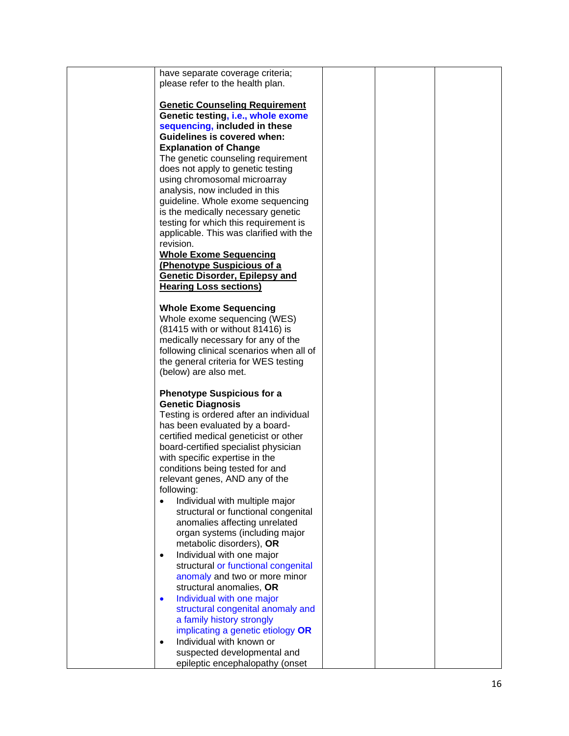| have separate coverage criteria;         |  |  |
|------------------------------------------|--|--|
| please refer to the health plan.         |  |  |
|                                          |  |  |
| <b>Genetic Counseling Requirement</b>    |  |  |
|                                          |  |  |
| Genetic testing, i.e., whole exome       |  |  |
| sequencing, included in these            |  |  |
| <b>Guidelines is covered when:</b>       |  |  |
| <b>Explanation of Change</b>             |  |  |
|                                          |  |  |
| The genetic counseling requirement       |  |  |
| does not apply to genetic testing        |  |  |
| using chromosomal microarray             |  |  |
| analysis, now included in this           |  |  |
| guideline. Whole exome sequencing        |  |  |
|                                          |  |  |
| is the medically necessary genetic       |  |  |
| testing for which this requirement is    |  |  |
| applicable. This was clarified with the  |  |  |
| revision.                                |  |  |
| <b>Whole Exome Sequencing</b>            |  |  |
|                                          |  |  |
| (Phenotype Suspicious of a               |  |  |
| <b>Genetic Disorder, Epilepsy and</b>    |  |  |
| <b>Hearing Loss sections)</b>            |  |  |
|                                          |  |  |
| <b>Whole Exome Sequencing</b>            |  |  |
| Whole exome sequencing (WES)             |  |  |
| (81415 with or without 81416) is         |  |  |
|                                          |  |  |
| medically necessary for any of the       |  |  |
| following clinical scenarios when all of |  |  |
| the general criteria for WES testing     |  |  |
| (below) are also met.                    |  |  |
|                                          |  |  |
| <b>Phenotype Suspicious for a</b>        |  |  |
| <b>Genetic Diagnosis</b>                 |  |  |
|                                          |  |  |
| Testing is ordered after an individual   |  |  |
| has been evaluated by a board-           |  |  |
| certified medical geneticist or other    |  |  |
| board-certified specialist physician     |  |  |
| with specific expertise in the           |  |  |
|                                          |  |  |
| conditions being tested for and          |  |  |
| relevant genes, AND any of the           |  |  |
| following:                               |  |  |
| Individual with multiple major           |  |  |
| structural or functional congenital      |  |  |
| anomalies affecting unrelated            |  |  |
| organ systems (including major           |  |  |
|                                          |  |  |
| metabolic disorders), OR                 |  |  |
| Individual with one major<br>$\bullet$   |  |  |
| structural or functional congenital      |  |  |
| anomaly and two or more minor            |  |  |
| structural anomalies, OR                 |  |  |
|                                          |  |  |
| Individual with one major<br>$\bullet$   |  |  |
| structural congenital anomaly and        |  |  |
| a family history strongly                |  |  |
| implicating a genetic etiology OR        |  |  |
| Individual with known or<br>$\bullet$    |  |  |
| suspected developmental and              |  |  |
|                                          |  |  |
| epileptic encephalopathy (onset          |  |  |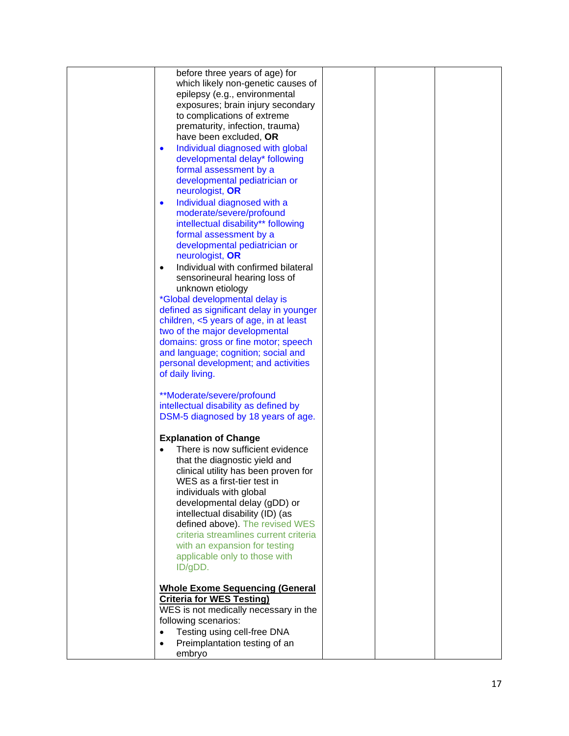| before three years of age) for                   |  |  |
|--------------------------------------------------|--|--|
| which likely non-genetic causes of               |  |  |
|                                                  |  |  |
| epilepsy (e.g., environmental                    |  |  |
| exposures; brain injury secondary                |  |  |
| to complications of extreme                      |  |  |
| prematurity, infection, trauma)                  |  |  |
| have been excluded, OR                           |  |  |
| Individual diagnosed with global<br>$\bullet$    |  |  |
| developmental delay* following                   |  |  |
| formal assessment by a                           |  |  |
| developmental pediatrician or                    |  |  |
|                                                  |  |  |
| neurologist, OR                                  |  |  |
| Individual diagnosed with a<br>$\bullet$         |  |  |
| moderate/severe/profound                         |  |  |
| intellectual disability** following              |  |  |
| formal assessment by a                           |  |  |
| developmental pediatrician or                    |  |  |
| neurologist, OR                                  |  |  |
| Individual with confirmed bilateral<br>$\bullet$ |  |  |
| sensorineural hearing loss of                    |  |  |
| unknown etiology                                 |  |  |
| *Global developmental delay is                   |  |  |
| defined as significant delay in younger          |  |  |
|                                                  |  |  |
| children, <5 years of age, in at least           |  |  |
| two of the major developmental                   |  |  |
| domains: gross or fine motor; speech             |  |  |
| and language; cognition; social and              |  |  |
| personal development; and activities             |  |  |
| of daily living.                                 |  |  |
|                                                  |  |  |
| **Moderate/severe/profound                       |  |  |
| intellectual disability as defined by            |  |  |
| DSM-5 diagnosed by 18 years of age.              |  |  |
| <b>Explanation of Change</b>                     |  |  |
| There is now sufficient evidence                 |  |  |
|                                                  |  |  |
| that the diagnostic yield and                    |  |  |
| clinical utility has been proven for             |  |  |
| WES as a first-tier test in                      |  |  |
| individuals with global                          |  |  |
| developmental delay (gDD) or                     |  |  |
| intellectual disability (ID) (as                 |  |  |
| defined above). The revised WES                  |  |  |
| criteria streamlines current criteria            |  |  |
| with an expansion for testing                    |  |  |
| applicable only to those with                    |  |  |
| ID/gDD.                                          |  |  |
|                                                  |  |  |
| <b>Whole Exome Sequencing (General</b>           |  |  |
| <b>Criteria for WES Testing)</b>                 |  |  |
| WES is not medically necessary in the            |  |  |
| following scenarios:                             |  |  |
| $\bullet$                                        |  |  |
| Testing using cell-free DNA                      |  |  |
| Preimplantation testing of an<br>$\bullet$       |  |  |
| embryo                                           |  |  |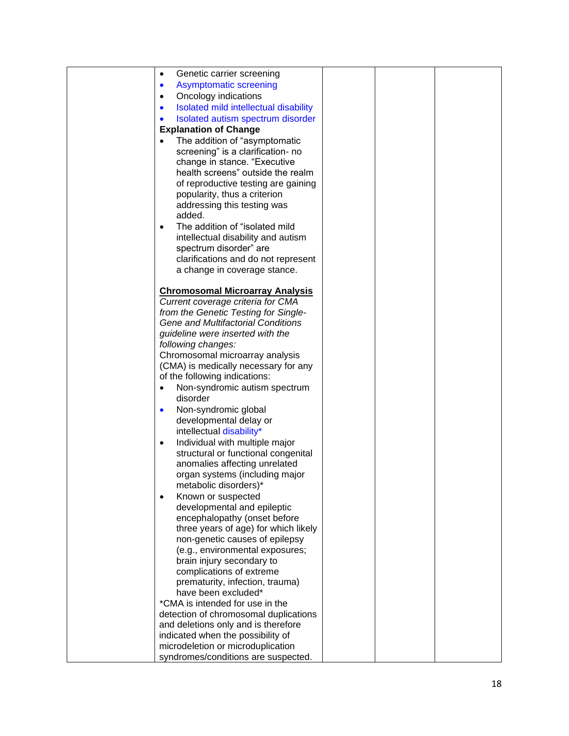| Genetic carrier screening<br>$\bullet$                                  |  |  |
|-------------------------------------------------------------------------|--|--|
| <b>Asymptomatic screening</b><br>$\bullet$                              |  |  |
| Oncology indications<br>$\bullet$                                       |  |  |
| Isolated mild intellectual disability<br>$\bullet$                      |  |  |
| Isolated autism spectrum disorder<br>$\bullet$                          |  |  |
| <b>Explanation of Change</b>                                            |  |  |
| The addition of "asymptomatic<br>$\bullet$                              |  |  |
| screening" is a clarification- no                                       |  |  |
| change in stance. "Executive                                            |  |  |
| health screens" outside the realm                                       |  |  |
| of reproductive testing are gaining                                     |  |  |
| popularity, thus a criterion                                            |  |  |
| addressing this testing was                                             |  |  |
| added.                                                                  |  |  |
| The addition of "isolated mild<br>$\bullet$                             |  |  |
| intellectual disability and autism                                      |  |  |
| spectrum disorder" are                                                  |  |  |
| clarifications and do not represent                                     |  |  |
| a change in coverage stance.                                            |  |  |
|                                                                         |  |  |
| <b>Chromosomal Microarray Analysis</b>                                  |  |  |
| Current coverage criteria for CMA                                       |  |  |
| from the Genetic Testing for Single-                                    |  |  |
| Gene and Multifactorial Conditions                                      |  |  |
| guideline were inserted with the                                        |  |  |
| following changes:                                                      |  |  |
| Chromosomal microarray analysis<br>(CMA) is medically necessary for any |  |  |
| of the following indications:                                           |  |  |
| Non-syndromic autism spectrum<br>$\bullet$                              |  |  |
| disorder                                                                |  |  |
| Non-syndromic global<br>$\bullet$                                       |  |  |
| developmental delay or                                                  |  |  |
| intellectual disability*                                                |  |  |
| Individual with multiple major<br>$\bullet$                             |  |  |
| structural or functional congenital                                     |  |  |
| anomalies affecting unrelated                                           |  |  |
| organ systems (including major                                          |  |  |
| metabolic disorders)*                                                   |  |  |
| Known or suspected                                                      |  |  |
| developmental and epileptic                                             |  |  |
| encephalopathy (onset before                                            |  |  |
| three years of age) for which likely                                    |  |  |
| non-genetic causes of epilepsy                                          |  |  |
| (e.g., environmental exposures;                                         |  |  |
| brain injury secondary to                                               |  |  |
| complications of extreme                                                |  |  |
| prematurity, infection, trauma)<br>have been excluded*                  |  |  |
| *CMA is intended for use in the                                         |  |  |
| detection of chromosomal duplications                                   |  |  |
| and deletions only and is therefore                                     |  |  |
| indicated when the possibility of                                       |  |  |
| microdeletion or microduplication                                       |  |  |
| syndromes/conditions are suspected.                                     |  |  |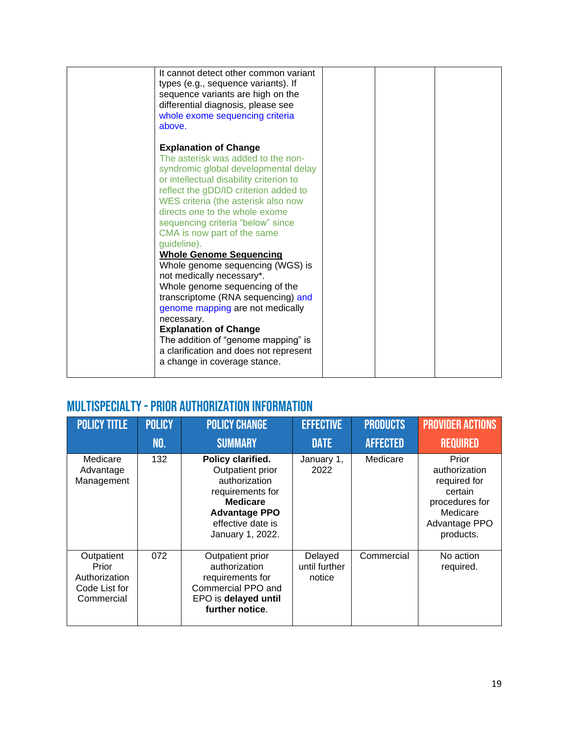| It cannot detect other common variant<br>types (e.g., sequence variants). If<br>sequence variants are high on the<br>differential diagnosis, please see<br>whole exome sequencing criteria                                                                                                                                                                                                                                                                                                                                                                                                                                                                                                                                                         |  |  |
|----------------------------------------------------------------------------------------------------------------------------------------------------------------------------------------------------------------------------------------------------------------------------------------------------------------------------------------------------------------------------------------------------------------------------------------------------------------------------------------------------------------------------------------------------------------------------------------------------------------------------------------------------------------------------------------------------------------------------------------------------|--|--|
| above.<br><b>Explanation of Change</b><br>The asterisk was added to the non-<br>syndromic global developmental delay<br>or intellectual disability criterion to<br>reflect the gDD/ID criterion added to<br>WES criteria (the asterisk also now<br>directs one to the whole exome<br>sequencing criteria "below" since<br>CMA is now part of the same<br>guideline).<br><b>Whole Genome Sequencing</b><br>Whole genome sequencing (WGS) is<br>not medically necessary*.<br>Whole genome sequencing of the<br>transcriptome (RNA sequencing) and<br>genome mapping are not medically<br>necessary.<br><b>Explanation of Change</b><br>The addition of "genome mapping" is<br>a clarification and does not represent<br>a change in coverage stance. |  |  |

# <span id="page-18-0"></span>Multispecialty -Prior Authorization Information

<span id="page-18-1"></span>

| <b>POLICY TITLE</b>                                                 | <b>POLICY</b> | <b>POLICY CHANGE</b>                                                                                                                                           | <b>EFFECTIVE</b>                   | <b>PRODUCTS</b> | <b>PROVIDER ACTIONS</b>                                                                                       |
|---------------------------------------------------------------------|---------------|----------------------------------------------------------------------------------------------------------------------------------------------------------------|------------------------------------|-----------------|---------------------------------------------------------------------------------------------------------------|
|                                                                     | NO.           | <b>SUMMARY</b>                                                                                                                                                 | <b>DATE</b>                        | <b>AFFECTED</b> | <b>REQUIRED</b>                                                                                               |
| Medicare<br>Advantage<br>Management                                 | 132           | Policy clarified.<br>Outpatient prior<br>authorization<br>requirements for<br><b>Medicare</b><br><b>Advantage PPO</b><br>effective date is<br>January 1, 2022. | January 1,<br>2022                 | Medicare        | Prior<br>authorization<br>required for<br>certain<br>procedures for<br>Medicare<br>Advantage PPO<br>products. |
| Outpatient<br>Prior<br>Authorization<br>Code List for<br>Commercial | 072           | Outpatient prior<br>authorization<br>requirements for<br>Commercial PPO and<br>EPO is delayed until<br>further notice.                                         | Delayed<br>until further<br>notice | Commercial      | No action<br>required.                                                                                        |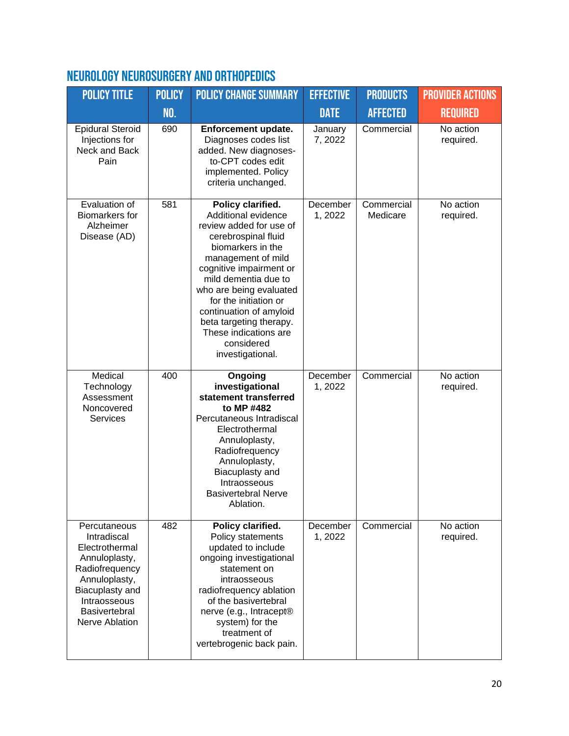# Neurology Neurosurgery and Orthopedics

| <b>POLICY TITLE</b>                                                                                                                                                     | <b>POLICY</b> | <b>POLICY CHANGE SUMMARY</b>                                                                                                                                                                                                                                                                                                                                  | <b>EFFECTIVE</b>    | <b>PRODUCTS</b>        | <b>PROVIDER ACTIONS</b> |
|-------------------------------------------------------------------------------------------------------------------------------------------------------------------------|---------------|---------------------------------------------------------------------------------------------------------------------------------------------------------------------------------------------------------------------------------------------------------------------------------------------------------------------------------------------------------------|---------------------|------------------------|-------------------------|
|                                                                                                                                                                         | <b>NO.</b>    |                                                                                                                                                                                                                                                                                                                                                               | <b>DATE</b>         | <b>AFFECTED</b>        | <b>REQUIRED</b>         |
| <b>Epidural Steroid</b><br>Injections for<br>Neck and Back<br>Pain                                                                                                      | 690           | Enforcement update.<br>Diagnoses codes list<br>added. New diagnoses-<br>to-CPT codes edit<br>implemented. Policy<br>criteria unchanged.                                                                                                                                                                                                                       | January<br>7,2022   | Commercial             | No action<br>required.  |
| Evaluation of<br><b>Biomarkers</b> for<br>Alzheimer<br>Disease (AD)                                                                                                     | 581           | Policy clarified.<br>Additional evidence<br>review added for use of<br>cerebrospinal fluid<br>biomarkers in the<br>management of mild<br>cognitive impairment or<br>mild dementia due to<br>who are being evaluated<br>for the initiation or<br>continuation of amyloid<br>beta targeting therapy.<br>These indications are<br>considered<br>investigational. | December<br>1,2022  | Commercial<br>Medicare | No action<br>required.  |
| Medical<br>Technology<br>Assessment<br>Noncovered<br><b>Services</b>                                                                                                    | 400           | Ongoing<br>investigational<br>statement transferred<br>to MP #482<br>Percutaneous Intradiscal<br>Electrothermal<br>Annuloplasty,<br>Radiofrequency<br>Annuloplasty,<br>Biacuplasty and<br>Intraosseous<br><b>Basivertebral Nerve</b><br>Ablation.                                                                                                             | December<br>1, 2022 | Commercial             | No action<br>required.  |
| Percutaneous<br>Intradiscal<br>Electrothermal<br>Annuloplasty,<br>Radiofrequency<br>Annuloplasty,<br>Biacuplasty and<br>Intraosseous<br>Basivertebral<br>Nerve Ablation | 482           | Policy clarified.<br>Policy statements<br>updated to include<br>ongoing investigational<br>statement on<br>intraosseous<br>radiofrequency ablation<br>of the basivertebral<br>nerve (e.g., Intracept®<br>system) for the<br>treatment of<br>vertebrogenic back pain.                                                                                          | December<br>1,2022  | Commercial             | No action<br>required.  |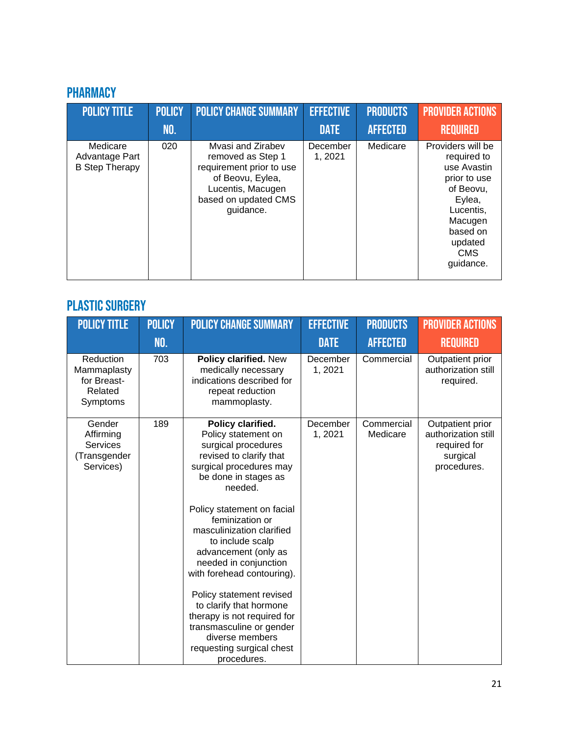# <span id="page-20-0"></span>**PHARMACY**

| <b>POLICY TITLE</b>                                 | <b>POLICY</b> | <b>POLICY CHANGE SUMMARY</b>                                                                                                                     | <b>EFFECTIVE</b>    | <b>PRODUCTS</b> | <b>PROVIDER ACTIONS</b>                                                                                                                                          |
|-----------------------------------------------------|---------------|--------------------------------------------------------------------------------------------------------------------------------------------------|---------------------|-----------------|------------------------------------------------------------------------------------------------------------------------------------------------------------------|
|                                                     | <b>NO.</b>    |                                                                                                                                                  | <b>DATE</b>         | <b>AFFECTED</b> | <b>REQUIRED</b>                                                                                                                                                  |
| Medicare<br>Advantage Part<br><b>B Step Therapy</b> | 020           | Myasi and Zirabey<br>removed as Step 1<br>requirement prior to use<br>of Beovu, Eylea,<br>Lucentis, Macugen<br>based on updated CMS<br>guidance. | December<br>1, 2021 | Medicare        | Providers will be<br>required to<br>use Avastin<br>prior to use<br>of Beovu,<br>Eylea,<br>Lucentis,<br>Macugen<br>based on<br>updated<br><b>CMS</b><br>guidance. |

# <span id="page-20-1"></span>PLASTIC SURGERY

| <b>POLICY TITLE</b>                                            | <b>POLICY</b> | <b>POLICY CHANGE SUMMARY</b>                                                                                                                                                                                                                                                                                                                                                                                                                                                                                               | <b>EFFECTIVE</b>   | <b>PRODUCTS</b>        | <b>PROVIDER ACTIONS</b>                                                            |
|----------------------------------------------------------------|---------------|----------------------------------------------------------------------------------------------------------------------------------------------------------------------------------------------------------------------------------------------------------------------------------------------------------------------------------------------------------------------------------------------------------------------------------------------------------------------------------------------------------------------------|--------------------|------------------------|------------------------------------------------------------------------------------|
|                                                                | NO.           |                                                                                                                                                                                                                                                                                                                                                                                                                                                                                                                            | <b>DATE</b>        | <b>AFFECTED</b>        | <b>REQUIRED</b>                                                                    |
| Reduction<br>Mammaplasty<br>for Breast-<br>Related<br>Symptoms | 703           | Policy clarified. New<br>medically necessary<br>indications described for<br>repeat reduction<br>mammoplasty.                                                                                                                                                                                                                                                                                                                                                                                                              | December<br>1,2021 | Commercial             | Outpatient prior<br>authorization still<br>required.                               |
| Gender<br>Affirming<br>Services<br>(Transgender<br>Services)   | 189           | Policy clarified.<br>Policy statement on<br>surgical procedures<br>revised to clarify that<br>surgical procedures may<br>be done in stages as<br>needed.<br>Policy statement on facial<br>feminization or<br>masculinization clarified<br>to include scalp<br>advancement (only as<br>needed in conjunction<br>with forehead contouring).<br>Policy statement revised<br>to clarify that hormone<br>therapy is not required for<br>transmasculine or gender<br>diverse members<br>requesting surgical chest<br>procedures. | December<br>1,2021 | Commercial<br>Medicare | Outpatient prior<br>authorization still<br>required for<br>surgical<br>procedures. |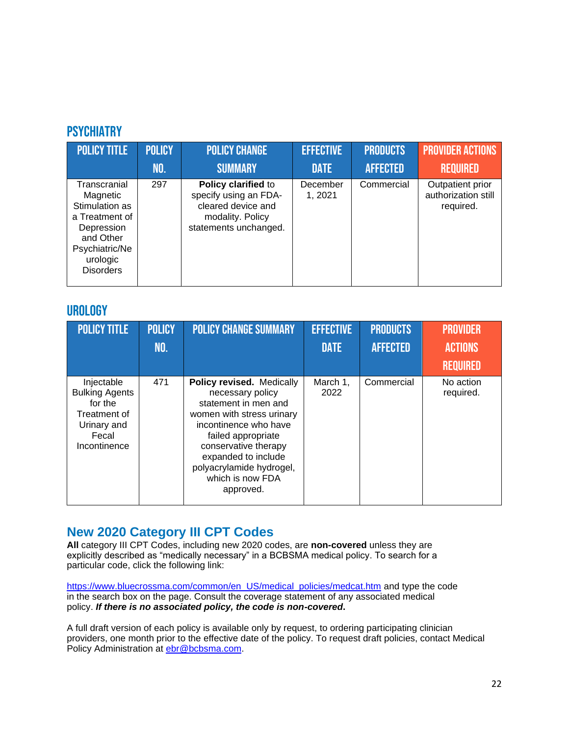### <span id="page-21-0"></span>**PSYCHIATRY**

| <b>POLICY TITLE</b>                                                                                                                       | <b>POLICY</b> | <b>POLICY CHANGE</b>                                                                                            | <b>EFFECTIVE</b>   | <b>PRODUCTS</b> | <b>PROVIDER ACTIONS</b>                              |
|-------------------------------------------------------------------------------------------------------------------------------------------|---------------|-----------------------------------------------------------------------------------------------------------------|--------------------|-----------------|------------------------------------------------------|
|                                                                                                                                           | NO.           | <b>SUMMARY</b>                                                                                                  | <b>DATE</b>        | <b>AFFECTED</b> | <b>REQUIRED</b>                                      |
| Transcranial<br>Magnetic<br>Stimulation as<br>a Treatment of<br>Depression<br>and Other<br>Psychiatric/Ne<br>urologic<br><b>Disorders</b> | 297           | Policy clarified to<br>specify using an FDA-<br>cleared device and<br>modality. Policy<br>statements unchanged. | December<br>1,2021 | Commercial      | Outpatient prior<br>authorization still<br>required. |

#### <span id="page-21-1"></span>**UROLOGY**

| <b>POLICY TITLE</b>                                                                                    | <b>POLICY</b><br>NO. | <b>POLICY CHANGE SUMMARY</b>                                                                                                                                                                                                                                  | <b>EFFECTIVE</b><br><b>DATE</b> | <b>PRODUCTS</b><br><b>AFFECTED</b> | <b>PROVIDER</b><br><b>ACTIONS</b><br><b>REQUIRED</b> |
|--------------------------------------------------------------------------------------------------------|----------------------|---------------------------------------------------------------------------------------------------------------------------------------------------------------------------------------------------------------------------------------------------------------|---------------------------------|------------------------------------|------------------------------------------------------|
| Injectable<br><b>Bulking Agents</b><br>for the<br>Treatment of<br>Urinary and<br>Fecal<br>Incontinence | 471                  | Policy revised. Medically<br>necessary policy<br>statement in men and<br>women with stress urinary<br>incontinence who have<br>failed appropriate<br>conservative therapy<br>expanded to include<br>polyacrylamide hydrogel,<br>which is now FDA<br>approved. | March 1,<br>2022                | Commercial                         | No action<br>required.                               |

### **New 2020 Category III CPT Codes**

**All** category III CPT Codes, including new 2020 codes, are **non-covered** unless they are explicitly described as "medically necessary" in a BCBSMA medical policy. To search for a particular code, click the following link:

[https://www.bluecrossma.com/common/en\\_US/medical\\_policies/medcat.htm](https://www.bluecrossma.com/common/en_US/medical_policies/medcat.htm) and type the code in the search box on the page. Consult the coverage statement of any associated medical policy. *If there is no associated policy, the code is non-covered***.**

A full draft version of each policy is available only by request, to ordering participating clinician providers, one month prior to the effective date of the policy. To request draft policies, contact Medical Policy Administration at **ebr@bcbsma.com**.